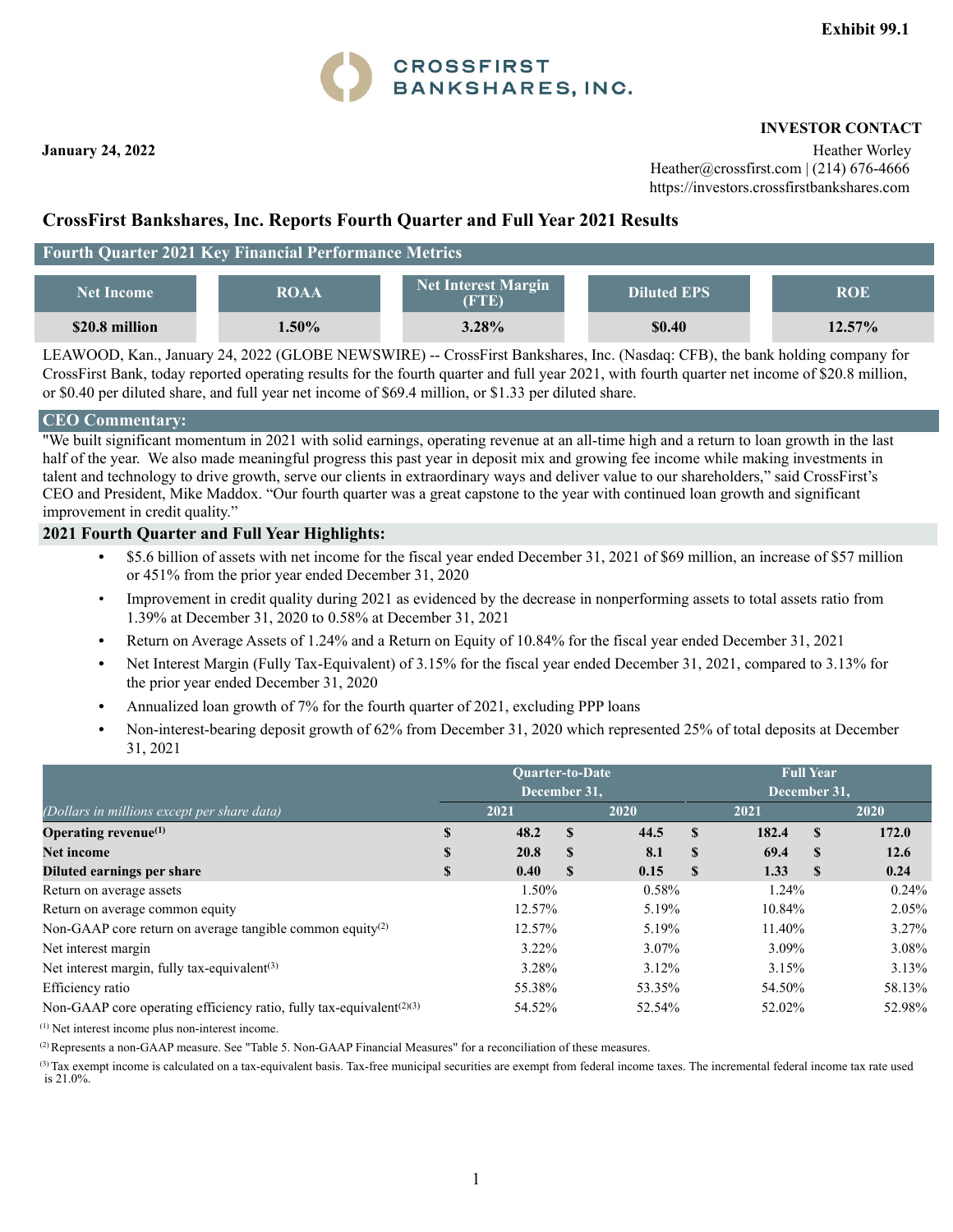

 **INVESTOR CONTACT** 

**January 24, 2022** Heather Worley **Heather Worley** Heather@crossfirst.com | (214) 676-4666 https://investors.crossfirstbankshares.com

## **CrossFirst Bankshares, Inc. Reports Fourth Quarter and Full Year 2021 Results**

## **Fourth Quarter 2021 Key Financial Performance Metrics**

| <b>Net Income</b> | <b>ROAA</b> | <b>Net Interest Margin</b><br>(FTE) | <b>Diluted EPS</b> | <b>ROE</b> |
|-------------------|-------------|-------------------------------------|--------------------|------------|
| \$20.8 million    | $1.50\%$    | 3.28%                               | \$0.40             | $12.57\%$  |

LEAWOOD, Kan., January 24, 2022 (GLOBE NEWSWIRE) -- CrossFirst Bankshares, Inc. (Nasdaq: CFB), the bank holding company for CrossFirst Bank, today reported operating results for the fourth quarter and full year 2021, with fourth quarter net income of \$20.8 million, or \$0.40 per diluted share, and full year net income of \$69.4 million, or \$1.33 per diluted share.

#### **CEO Commentary:**

"We built significant momentum in 2021 with solid earnings, operating revenue at an all-time high and a return to loan growth in the last half of the year. We also made meaningful progress this past year in deposit mix and growing fee income while making investments in talent and technology to drive growth, serve our clients in extraordinary ways and deliver value to our shareholders," said CrossFirst's CEO and President, Mike Maddox. "Our fourth quarter was a great capstone to the year with continued loan growth and significant improvement in credit quality."

#### **2021 Fourth Quarter and Full Year Highlights:**

- **•** \$5.6 billion of assets with net income for the fiscal year ended December 31, 2021 of \$69 million, an increase of \$57 million or 451% from the prior year ended December 31, 2020
- Improvement in credit quality during 2021 as evidenced by the decrease in nonperforming assets to total assets ratio from 1.39% at December 31, 2020 to 0.58% at December 31, 2021
- **•** Return on Average Assets of 1.24% and a Return on Equity of 10.84% for the fiscal year ended December 31, 2021
- Net Interest Margin (Fully Tax-Equivalent) of 3.15% for the fiscal year ended December 31, 2021, compared to 3.13% for the prior year ended December 31, 2020
- **•** Annualized loan growth of 7% for the fourth quarter of 2021, excluding PPP loans
- **•** Non-interest-bearing deposit growth of 62% from December 31, 2020 which represented 25% of total deposits at December 31, 2021

|                                                                                  |    | <b>Ouarter-to-Date</b><br>December 31, |              |        |          | <b>Full Year</b><br>December 31, |          |        |
|----------------------------------------------------------------------------------|----|----------------------------------------|--------------|--------|----------|----------------------------------|----------|--------|
| (Dollars in millions except per share data)                                      |    | 2021                                   |              | 2020   |          | 2021                             |          | 2020   |
| Operating revenue $(1)$                                                          | S  | 48.2                                   | $\mathbf{s}$ | 44.5   | S        | 182.4                            | <b>S</b> | 172.0  |
| <b>Net income</b>                                                                | S  | 20.8                                   | $\mathbf{s}$ | 8.1    | <b>S</b> | 69.4                             | <b>S</b> | 12.6   |
| Diluted earnings per share                                                       | \$ | 0.40                                   | <b>S</b>     | 0.15   | S        | 1.33                             | -S       | 0.24   |
| Return on average assets                                                         |    | 1.50%                                  |              | 0.58%  |          | 1.24%                            |          | 0.24%  |
| Return on average common equity                                                  |    | 12.57%                                 |              | 5.19%  |          | 10.84%                           |          | 2.05%  |
| Non-GAAP core return on average tangible common equity <sup>(2)</sup>            |    | 12.57%                                 |              | 5.19%  |          | 11.40%                           |          | 3.27%  |
| Net interest margin                                                              |    | $3.22\%$                               |              | 3.07%  |          | 3.09%                            |          | 3.08%  |
| Net interest margin, fully tax-equivalent $(3)$                                  |    | 3.28%                                  |              | 3.12%  |          | 3.15%                            |          | 3.13%  |
| Efficiency ratio                                                                 |    | 55.38%                                 |              | 53.35% |          | 54.50%                           |          | 58.13% |
| Non-GAAP core operating efficiency ratio, fully tax-equivalent <sup>(2)(3)</sup> |    | 54.52%                                 |              | 52.54% |          | 52.02%                           |          | 52.98% |

(1) Net interest income plus non-interest income.

(2) Represents a non-GAAP measure. See "Table 5. Non-GAAP Financial Measures" for a reconciliation of these measures.

(3) Tax exempt income is calculated on a tax-equivalent basis. Tax-free municipal securities are exempt from federal income taxes. The incremental federal income tax rate used is 21.0%.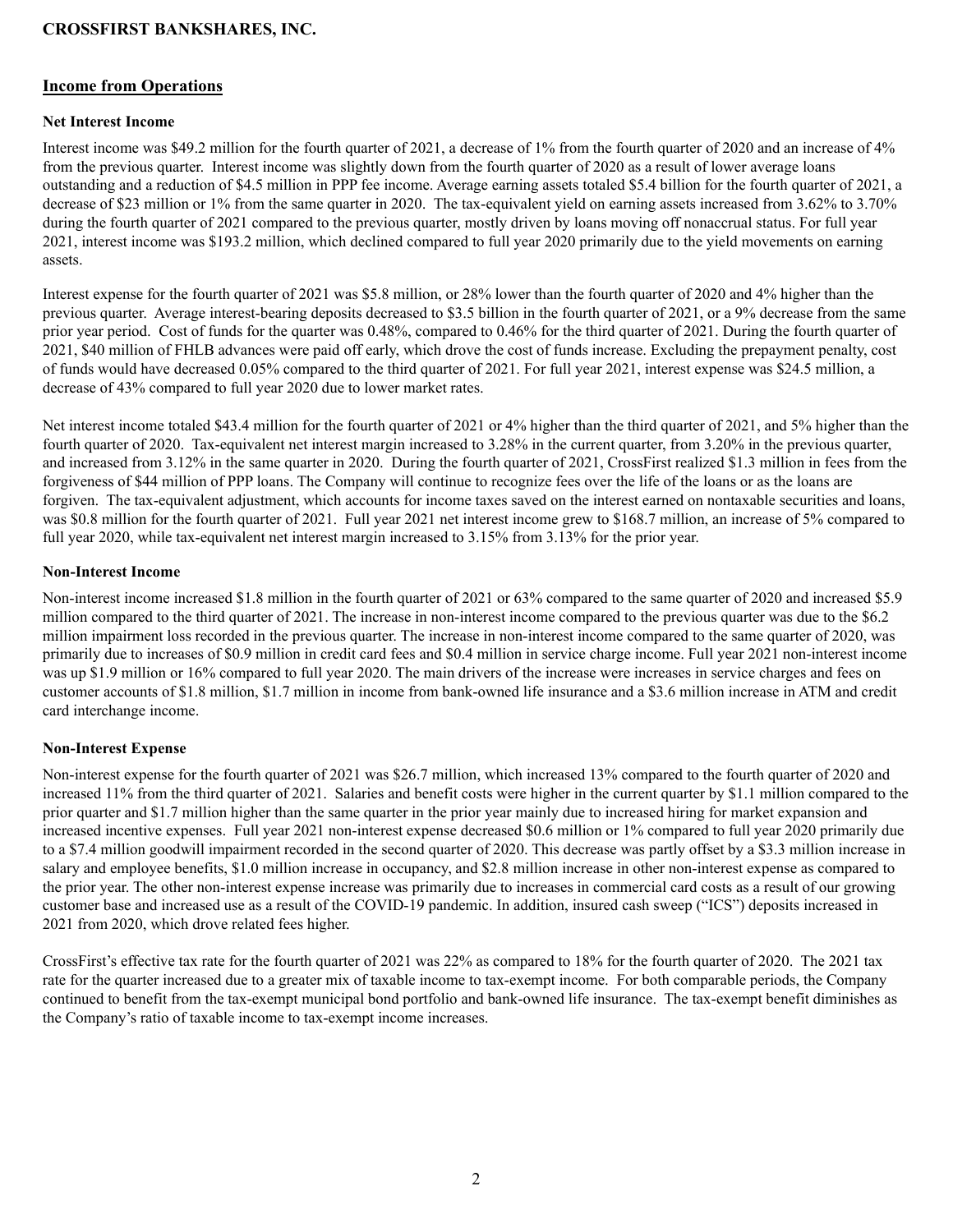#### **Income from Operations**

#### **Net Interest Income**

Interest income was \$49.2 million for the fourth quarter of 2021, a decrease of 1% from the fourth quarter of 2020 and an increase of 4% from the previous quarter. Interest income was slightly down from the fourth quarter of 2020 as a result of lower average loans outstanding and a reduction of \$4.5 million in PPP fee income. Average earning assets totaled \$5.4 billion for the fourth quarter of 2021, a decrease of \$23 million or 1% from the same quarter in 2020. The tax-equivalent yield on earning assets increased from 3.62% to 3.70% during the fourth quarter of 2021 compared to the previous quarter, mostly driven by loans moving off nonaccrual status. For full year 2021, interest income was \$193.2 million, which declined compared to full year 2020 primarily due to the yield movements on earning assets.

Interest expense for the fourth quarter of 2021 was \$5.8 million, or 28% lower than the fourth quarter of 2020 and 4% higher than the previous quarter. Average interest-bearing deposits decreased to \$3.5 billion in the fourth quarter of 2021, or a 9% decrease from the same prior year period. Cost of funds for the quarter was 0.48%, compared to 0.46% for the third quarter of 2021. During the fourth quarter of 2021, \$40 million of FHLB advances were paid off early, which drove the cost of funds increase. Excluding the prepayment penalty, cost of funds would have decreased 0.05% compared to the third quarter of 2021. For full year 2021, interest expense was \$24.5 million, a decrease of 43% compared to full year 2020 due to lower market rates.

Net interest income totaled \$43.4 million for the fourth quarter of 2021 or 4% higher than the third quarter of 2021, and 5% higher than the fourth quarter of 2020. Tax-equivalent net interest margin increased to 3.28% in the current quarter, from 3.20% in the previous quarter, and increased from 3.12% in the same quarter in 2020. During the fourth quarter of 2021, CrossFirst realized \$1.3 million in fees from the forgiveness of \$44 million of PPP loans. The Company will continue to recognize fees over the life of the loans or as the loans are forgiven. The tax-equivalent adjustment, which accounts for income taxes saved on the interest earned on nontaxable securities and loans, was \$0.8 million for the fourth quarter of 2021. Full year 2021 net interest income grew to \$168.7 million, an increase of 5% compared to full year 2020, while tax-equivalent net interest margin increased to 3.15% from 3.13% for the prior year.

#### **Non-Interest Income**

Non-interest income increased \$1.8 million in the fourth quarter of 2021 or 63% compared to the same quarter of 2020 and increased \$5.9 million compared to the third quarter of 2021. The increase in non-interest income compared to the previous quarter was due to the \$6.2 million impairment loss recorded in the previous quarter. The increase in non-interest income compared to the same quarter of 2020, was primarily due to increases of \$0.9 million in credit card fees and \$0.4 million in service charge income. Full year 2021 non-interest income was up \$1.9 million or 16% compared to full year 2020. The main drivers of the increase were increases in service charges and fees on customer accounts of \$1.8 million, \$1.7 million in income from bank-owned life insurance and a \$3.6 million increase in ATM and credit card interchange income.

#### **Non-Interest Expense**

Non-interest expense for the fourth quarter of 2021 was \$26.7 million, which increased 13% compared to the fourth quarter of 2020 and increased 11% from the third quarter of 2021. Salaries and benefit costs were higher in the current quarter by \$1.1 million compared to the prior quarter and \$1.7 million higher than the same quarter in the prior year mainly due to increased hiring for market expansion and increased incentive expenses. Full year 2021 non-interest expense decreased \$0.6 million or 1% compared to full year 2020 primarily due to a \$7.4 million goodwill impairment recorded in the second quarter of 2020. This decrease was partly offset by a \$3.3 million increase in salary and employee benefits, \$1.0 million increase in occupancy, and \$2.8 million increase in other non-interest expense as compared to the prior year. The other non-interest expense increase was primarily due to increases in commercial card costs as a result of our growing customer base and increased use as a result of the COVID-19 pandemic. In addition, insured cash sweep ("ICS") deposits increased in 2021 from 2020, which drove related fees higher.

CrossFirst's effective tax rate for the fourth quarter of 2021 was 22% as compared to 18% for the fourth quarter of 2020. The 2021 tax rate for the quarter increased due to a greater mix of taxable income to tax-exempt income. For both comparable periods, the Company continued to benefit from the tax-exempt municipal bond portfolio and bank-owned life insurance. The tax-exempt benefit diminishes as the Company's ratio of taxable income to tax-exempt income increases.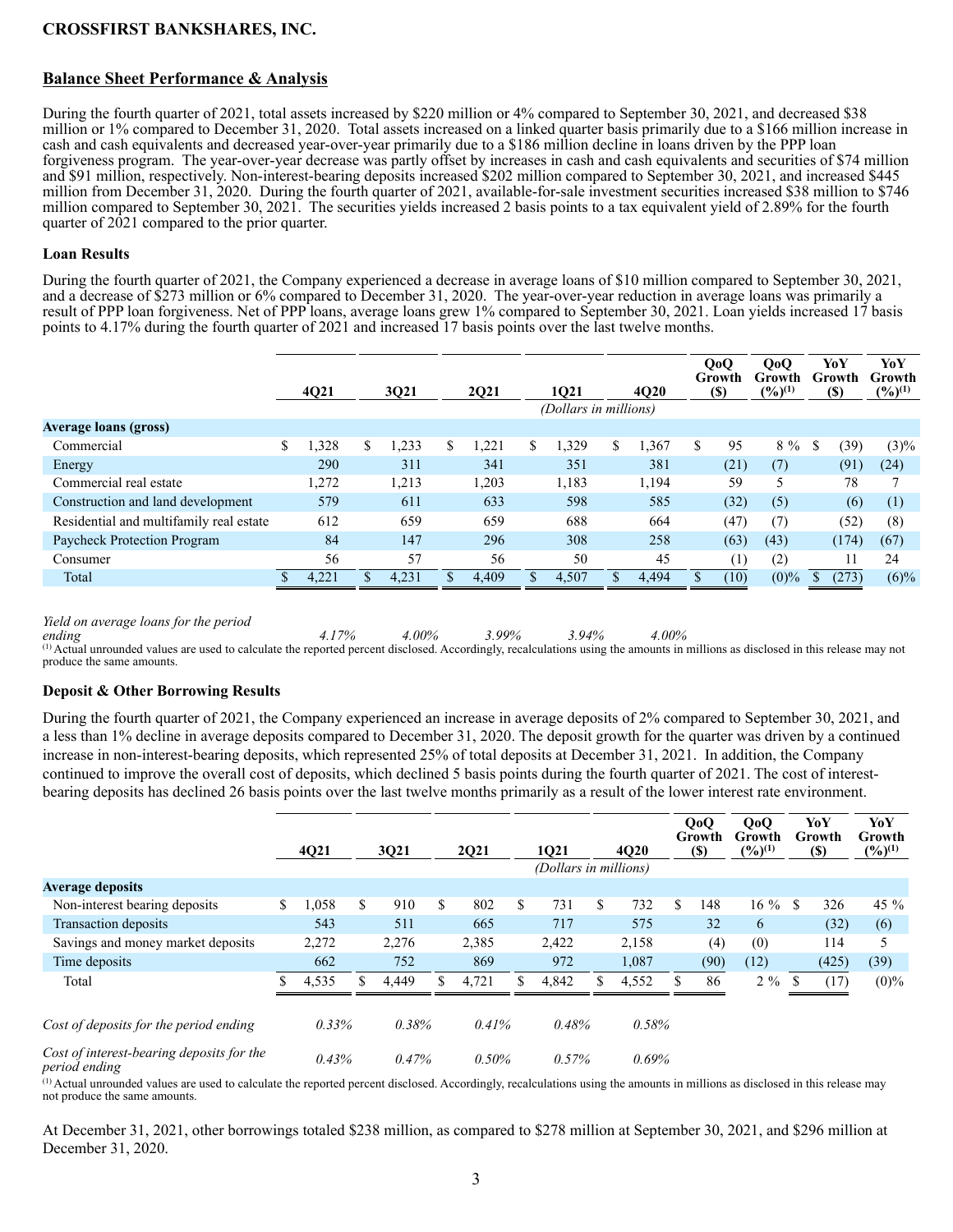## **Balance Sheet Performance & Analysis**

During the fourth quarter of 2021, total assets increased by \$220 million or 4% compared to September 30, 2021, and decreased \$38 million or 1% compared to December 31, 2020. Total assets increased on a linked quarter basis primarily due to a \$166 million increase in cash and cash equivalents and decreased year-over-year primarily due to a \$186 million decline in loans driven by the PPP loan forgiveness program. The year-over-year decrease was partly offset by increases in cash and cash equivalents and securities of \$74 million and \$91 million, respectively. Non-interest-bearing deposits increased \$202 million compared to September 30, 2021, and increased \$445 million from December 31, 2020. During the fourth quarter of 2021, available-for-sale investment securities increased \$38 million to \$746 million compared to September 30, 2021. The securities yields increased 2 basis points to a tax equivalent yield of 2.89% for the fourth quarter of 2021 compared to the prior quarter.

#### **Loan Results**

During the fourth quarter of 2021, the Company experienced a decrease in average loans of \$10 million compared to September 30, 2021, and a decrease of \$273 million or 6% compared to December 31, 2020. The year-over-year reduction in average loans was primarily a result of PPP loan forgiveness. Net of PPP loans, average loans grew 1% compared to September 30, 2021. Loan yields increased 17 basis points to 4.17% during the fourth quarter of 2021 and increased 17 basis points over the last twelve months.

|                                         | 4Q21        | 3Q21       | 2Q21       | 1021                  |   | <b>4020</b> | QoQ<br>Growth<br>(S) | QoQ<br>Growth<br>$(\frac{9}{6})^{(1)}$ |   | YoY<br>Growth<br><b>(\$)</b> | YoY<br>Growth<br>$(\frac{6}{10})^{(1)}$ |
|-----------------------------------------|-------------|------------|------------|-----------------------|---|-------------|----------------------|----------------------------------------|---|------------------------------|-----------------------------------------|
|                                         |             |            |            | (Dollars in millions) |   |             |                      |                                        |   |                              |                                         |
| <b>Average loans (gross)</b>            |             |            |            |                       |   |             |                      |                                        |   |                              |                                         |
| Commercial                              | \$<br>1,328 | \$<br>,233 | \$<br>,221 | \$<br>1,329           | S | 1,367       | \$<br>95             | 8 %                                    | S | (39)                         | $(3)\%$                                 |
| Energy                                  | 290         | 311        | 341        | 351                   |   | 381         | (21)                 | (7)                                    |   | (91)                         | (24)                                    |
| Commercial real estate                  | 1,272       | 1,213      | 1,203      | 1,183                 |   | 1,194       | 59                   |                                        |   | 78                           | 7                                       |
| Construction and land development       | 579         | 611        | 633        | 598                   |   | 585         | (32)                 | (5)                                    |   | (6)                          | (1)                                     |
| Residential and multifamily real estate | 612         | 659        | 659        | 688                   |   | 664         | (47                  | (7)                                    |   | (52)                         | (8)                                     |
| Paycheck Protection Program             | 84          | 147        | 296        | 308                   |   | 258         | (63)                 | (43)                                   |   | (174)                        | (67)                                    |
| Consumer                                | 56          | 57         | 56         | 50                    |   | 45          | $\left( 1\right)$    | (2)                                    |   |                              | 24                                      |
| Total                                   | 4.221       | 4,231      | 4.409      | 4,507                 |   | 4.494       | (10)                 | $(0)\%$                                |   | (273)                        | $(6)\%$                                 |
|                                         |             |            |            |                       |   |             |                      |                                        |   |                              |                                         |

*Yield on average loans for the period* 

ending<br>  $4.17\%$   $4.00\%$ <br>  $3.99\%$   $3.94\%$   $4.00\%$ <br>
(1) Actual unrounded values are used to calculate the reported percent disclosed. Accordingly, recalculations using the amounts in millions as disclosed in this releas produce the same amounts.

#### **Deposit & Other Borrowing Results**

During the fourth quarter of 2021, the Company experienced an increase in average deposits of 2% compared to September 30, 2021, and a less than 1% decline in average deposits compared to December 31, 2020. The deposit growth for the quarter was driven by a continued increase in non-interest-bearing deposits, which represented 25% of total deposits at December 31, 2021. In addition, the Company continued to improve the overall cost of deposits, which declined 5 basis points during the fourth quarter of 2021. The cost of interestbearing deposits has declined 26 basis points over the last twelve months primarily as a result of the lower interest rate environment.

|                                                            |   | 4Q21  |     | 3021  | 2021      | 1021                  |    | <b>4020</b> | QoQ<br>Growth<br><b>(\$)</b> | 0 <sub>0</sub><br>Growth<br>$(9/6)^{(1)}$ |     | YoY<br><b>Growth</b><br><b>(\$)</b> | YoY<br>Growth<br>$(\frac{9}{6})^{(1)}$ |
|------------------------------------------------------------|---|-------|-----|-------|-----------|-----------------------|----|-------------|------------------------------|-------------------------------------------|-----|-------------------------------------|----------------------------------------|
|                                                            |   |       |     |       |           | (Dollars in millions) |    |             |                              |                                           |     |                                     |                                        |
| <b>Average deposits</b>                                    |   |       |     |       |           |                       |    |             |                              |                                           |     |                                     |                                        |
| Non-interest bearing deposits                              | S | 1,058 | \$. | 910   | \$<br>802 | \$<br>731             | \$ | 732         | \$<br>148                    | $16\%$                                    | \$  | 326                                 | 45 $%$                                 |
| Transaction deposits                                       |   | 543   |     | 511   | 665       | 717                   |    | 575         | 32                           | 6                                         |     | (32)                                | (6)                                    |
| Savings and money market deposits                          |   | 2,272 |     | 2,276 | 2,385     | 2,422                 |    | 2,158       | (4)                          | (0)                                       |     | 114                                 | 5                                      |
| Time deposits                                              |   | 662   |     | 752   | 869       | 972                   |    | 1,087       | (90)                         | (12)                                      |     | (425)                               | (39)                                   |
| Total                                                      |   | 4,535 |     | 4,449 | 4,721     | 4,842                 | S. | 4,552       | 86                           | $2\%$                                     | \$. | (17)                                | $(0)\%$                                |
| Cost of deposits for the period ending                     |   | 0.33% |     | 0.38% | 0.41%     | 0.48%                 |    | 0.58%       |                              |                                           |     |                                     |                                        |
| Cost of interest-bearing deposits for the<br>period ending |   | 0.43% |     | 0.47% | 0.50%     | 0.57%                 |    | 0.69%       |                              |                                           |     |                                     |                                        |

(1) Actual unrounded values are used to calculate the reported percent disclosed. Accordingly, recalculations using the amounts in millions as disclosed in this release may not produce the same amounts.

At December 31, 2021, other borrowings totaled \$238 million, as compared to \$278 million at September 30, 2021, and \$296 million at December 31, 2020.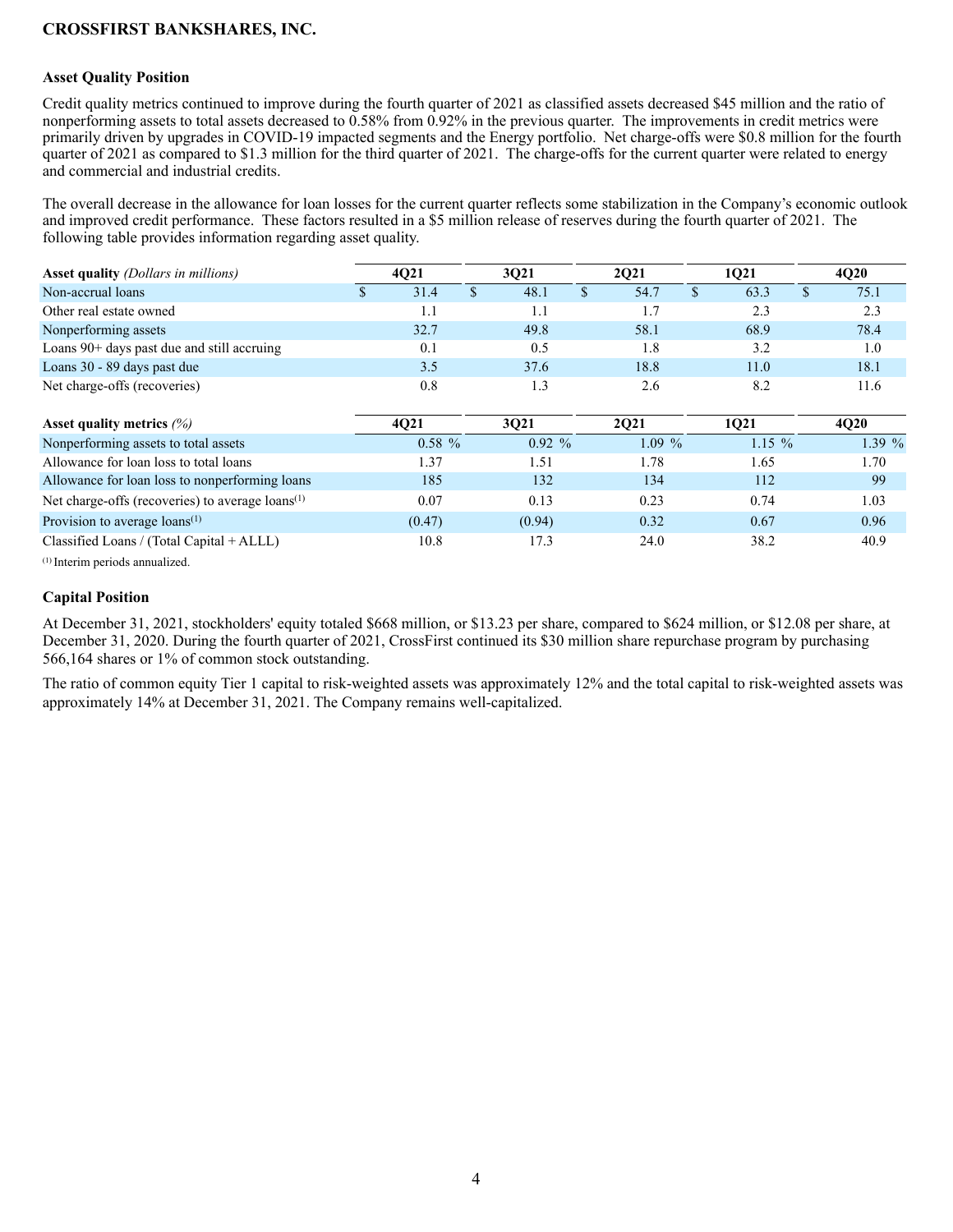#### **Asset Quality Position**

Credit quality metrics continued to improve during the fourth quarter of 2021 as classified assets decreased \$45 million and the ratio of nonperforming assets to total assets decreased to 0.58% from 0.92% in the previous quarter. The improvements in credit metrics were primarily driven by upgrades in COVID-19 impacted segments and the Energy portfolio. Net charge-offs were \$0.8 million for the fourth quarter of 2021 as compared to \$1.3 million for the third quarter of 2021. The charge-offs for the current quarter were related to energy and commercial and industrial credits.

The overall decrease in the allowance for loan losses for the current quarter reflects some stabilization in the Company's economic outlook and improved credit performance. These factors resulted in a \$5 million release of reserves during the fourth quarter of 2021. The following table provides information regarding asset quality.

| <b>Asset quality</b> (Dollars in millions)                   |      | 4Q21      | 3Q21 |          | 2Q21 |             | 1Q21          |          | 4Q20        |
|--------------------------------------------------------------|------|-----------|------|----------|------|-------------|---------------|----------|-------------|
| Non-accrual loans                                            | 31.4 |           |      | 48.1     |      | 54.7        | $\mathbf{\$}$ | 63.3     | \$<br>75.1  |
| Other real estate owned                                      |      | 1.1       |      | 1.1      |      | 1.7         |               | 2.3      | 2.3         |
| Nonperforming assets                                         |      | 32.7      |      | 49.8     |      | 58.1        |               | 68.9     | 78.4        |
| Loans $90+$ days past due and still accruing                 |      | 0.1       |      | 0.5      |      | 1.8         |               | 3.2      | 1.0         |
| Loans 30 - 89 days past due                                  |      | 3.5       |      | 37.6     |      | 18.8        |               | 11.0     | 18.1        |
| Net charge-offs (recoveries)                                 |      | 0.8       |      | 1.3      |      | 2.6         |               | 8.2      | 11.6        |
| Asset quality metrics $(%)$                                  |      | 4021      |      | 3Q21     |      | <b>2Q21</b> |               | 1Q21     | <b>4Q20</b> |
| Nonperforming assets to total assets                         |      | $0.58 \%$ |      | $0.92\%$ |      | $1.09\%$    |               | $1.15\%$ | 1.39%       |
| Allowance for loan loss to total loans                       |      | 1.37      |      | 1.51     |      | 1.78        |               | 1.65     | 1.70        |
| Allowance for loan loss to nonperforming loans               |      | 185       |      | 132      |      | 134         |               | 112      | 99          |
| Net charge-offs (recoveries) to average loans <sup>(1)</sup> |      | 0.07      |      | 0.13     |      | 0.23        |               | 0.74     | 1.03        |
| Provision to average $\text{loans}^{(1)}$                    |      | (0.47)    |      | (0.94)   |      | 0.32        |               | 0.67     | 0.96        |
| Classified Loans / (Total Capital + ALLL)                    |      | 10.8      |      | 17.3     |      | 24.0        |               | 38.2     | 40.9        |

(1) Interim periods annualized.

#### **Capital Position**

At December 31, 2021, stockholders' equity totaled \$668 million, or \$13.23 per share, compared to \$624 million, or \$12.08 per share, at December 31, 2020. During the fourth quarter of 2021, CrossFirst continued its \$30 million share repurchase program by purchasing 566,164 shares or 1% of common stock outstanding.

The ratio of common equity Tier 1 capital to risk-weighted assets was approximately 12% and the total capital to risk-weighted assets was approximately 14% at December 31, 2021. The Company remains well-capitalized.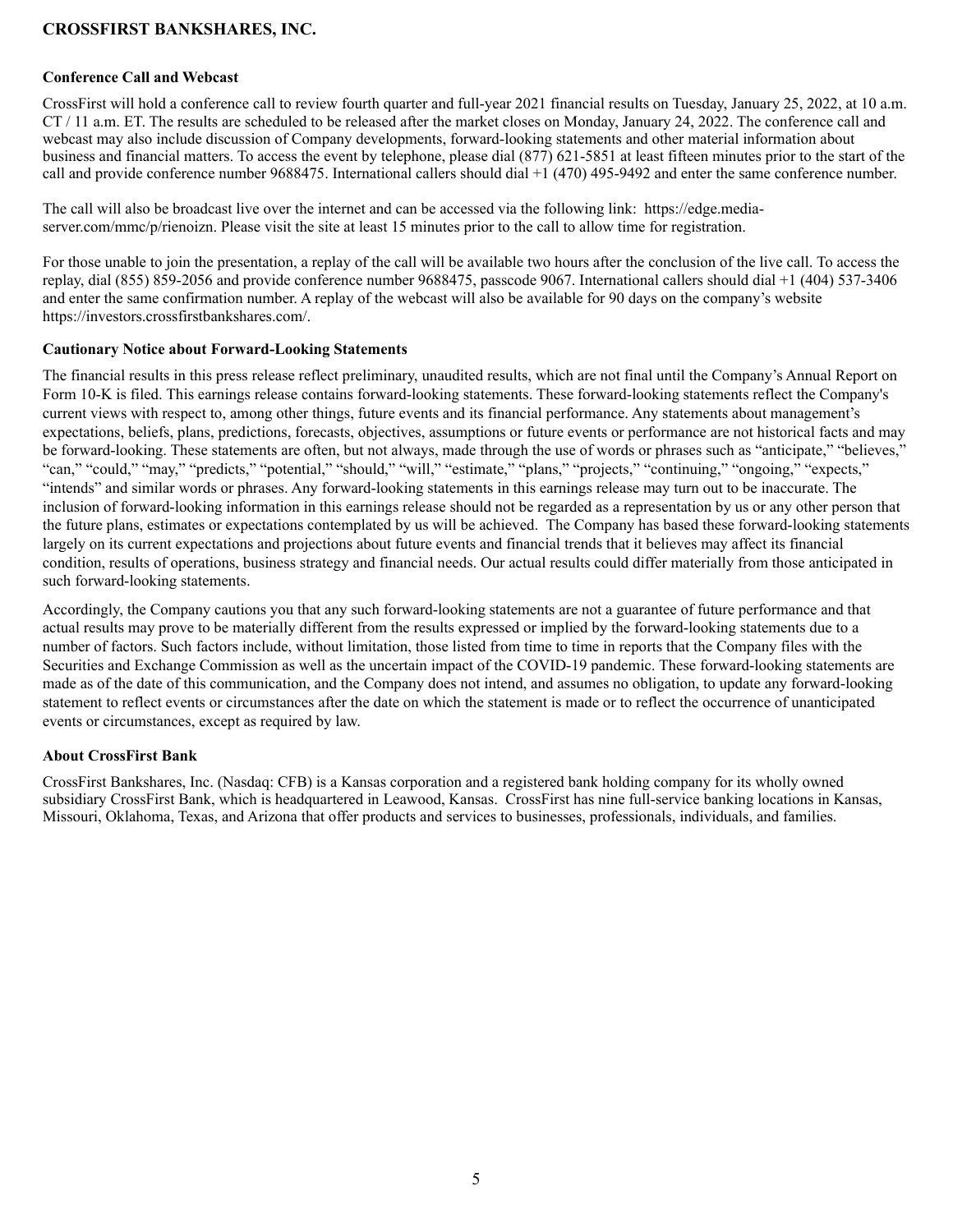#### **Conference Call and Webcast**

CrossFirst will hold a conference call to review fourth quarter and full-year 2021 financial results on Tuesday, January 25, 2022, at 10 a.m. CT / 11 a.m. ET. The results are scheduled to be released after the market closes on Monday, January 24, 2022. The conference call and webcast may also include discussion of Company developments, forward-looking statements and other material information about business and financial matters. To access the event by telephone, please dial (877) 621-5851 at least fifteen minutes prior to the start of the call and provide conference number 9688475. International callers should dial +1 (470) 495-9492 and enter the same conference number.

The call will also be broadcast live over the internet and can be accessed via the following link: https://edge.mediaserver.com/mmc/p/rienoizn. Please visit the site at least 15 minutes prior to the call to allow time for registration.

For those unable to join the presentation, a replay of the call will be available two hours after the conclusion of the live call. To access the replay, dial (855) 859-2056 and provide conference number 9688475, passcode 9067. International callers should dial +1 (404) 537-3406 and enter the same confirmation number. A replay of the webcast will also be available for 90 days on the company's website https://investors.crossfirstbankshares.com/.

#### **Cautionary Notice about Forward-Looking Statements**

The financial results in this press release reflect preliminary, unaudited results, which are not final until the Company's Annual Report on Form 10-K is filed. This earnings release contains forward-looking statements. These forward-looking statements reflect the Company's current views with respect to, among other things, future events and its financial performance. Any statements about management's expectations, beliefs, plans, predictions, forecasts, objectives, assumptions or future events or performance are not historical facts and may be forward-looking. These statements are often, but not always, made through the use of words or phrases such as "anticipate," "believes," "can," "could," "may," "predicts," "potential," "should," "will," "estimate," "plans," "projects," "continuing," "ongoing," "expects," "intends" and similar words or phrases. Any forward-looking statements in this earnings release may turn out to be inaccurate. The inclusion of forward-looking information in this earnings release should not be regarded as a representation by us or any other person that the future plans, estimates or expectations contemplated by us will be achieved. The Company has based these forward-looking statements largely on its current expectations and projections about future events and financial trends that it believes may affect its financial condition, results of operations, business strategy and financial needs. Our actual results could differ materially from those anticipated in such forward-looking statements.

Accordingly, the Company cautions you that any such forward-looking statements are not a guarantee of future performance and that actual results may prove to be materially different from the results expressed or implied by the forward-looking statements due to a number of factors. Such factors include, without limitation, those listed from time to time in reports that the Company files with the Securities and Exchange Commission as well as the uncertain impact of the COVID-19 pandemic. These forward-looking statements are made as of the date of this communication, and the Company does not intend, and assumes no obligation, to update any forward-looking statement to reflect events or circumstances after the date on which the statement is made or to reflect the occurrence of unanticipated events or circumstances, except as required by law.

#### **About CrossFirst Bank**

CrossFirst Bankshares, Inc. (Nasdaq: CFB) is a Kansas corporation and a registered bank holding company for its wholly owned subsidiary CrossFirst Bank, which is headquartered in Leawood, Kansas. CrossFirst has nine full-service banking locations in Kansas, Missouri, Oklahoma, Texas, and Arizona that offer products and services to businesses, professionals, individuals, and families.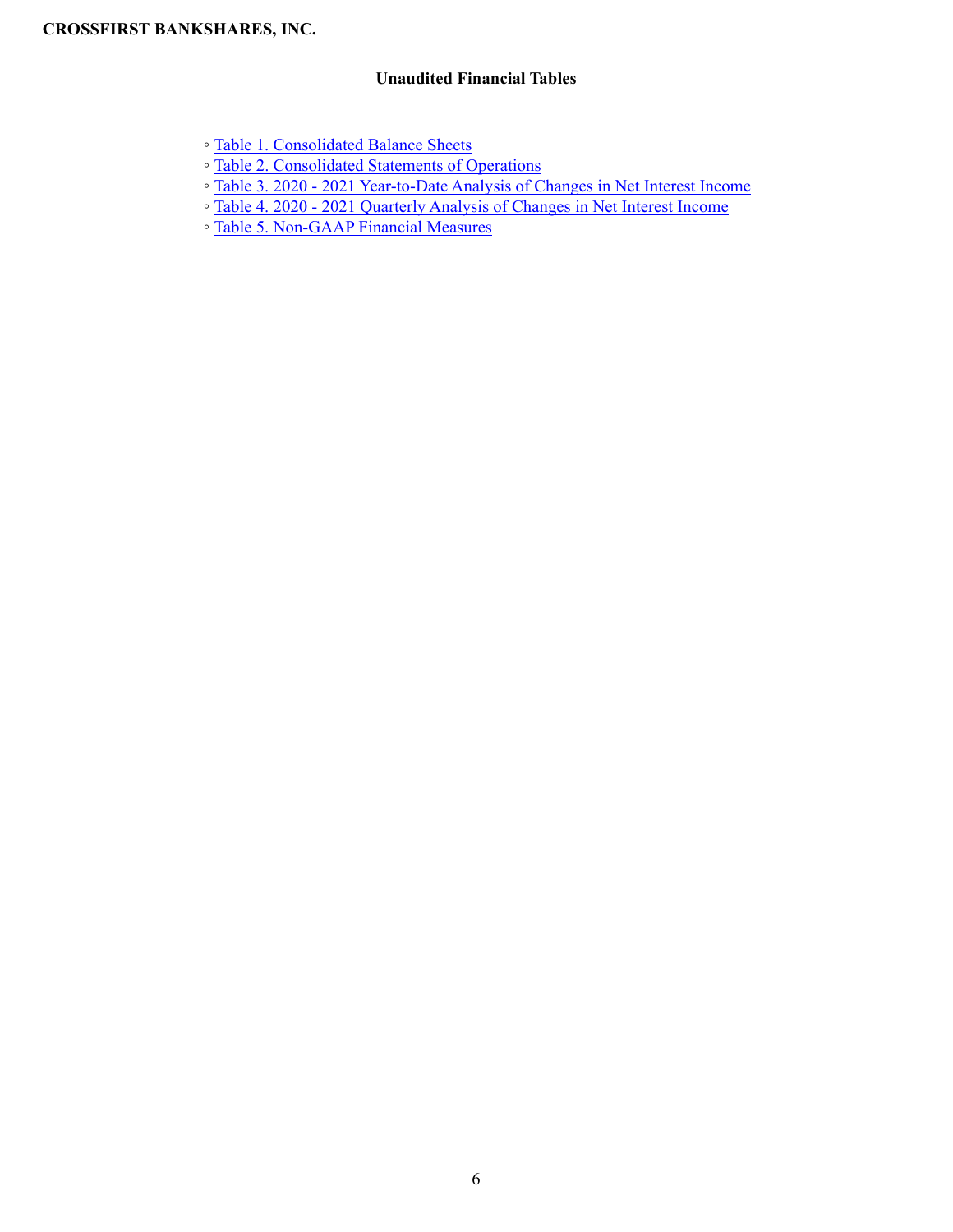## **Unaudited Financial Tables**

- Table 1. Consolidated Balance Sheets
- Table 2. Consolidated Statements of Operations
- Table 3. 2020 2021 Year-to-Date Analysis of Changes in Net Interest Income
- Table 4. 2020 2021 Quarterly Analysis of Changes in Net Interest Income
- Table 5. Non-GAAP Financial Measures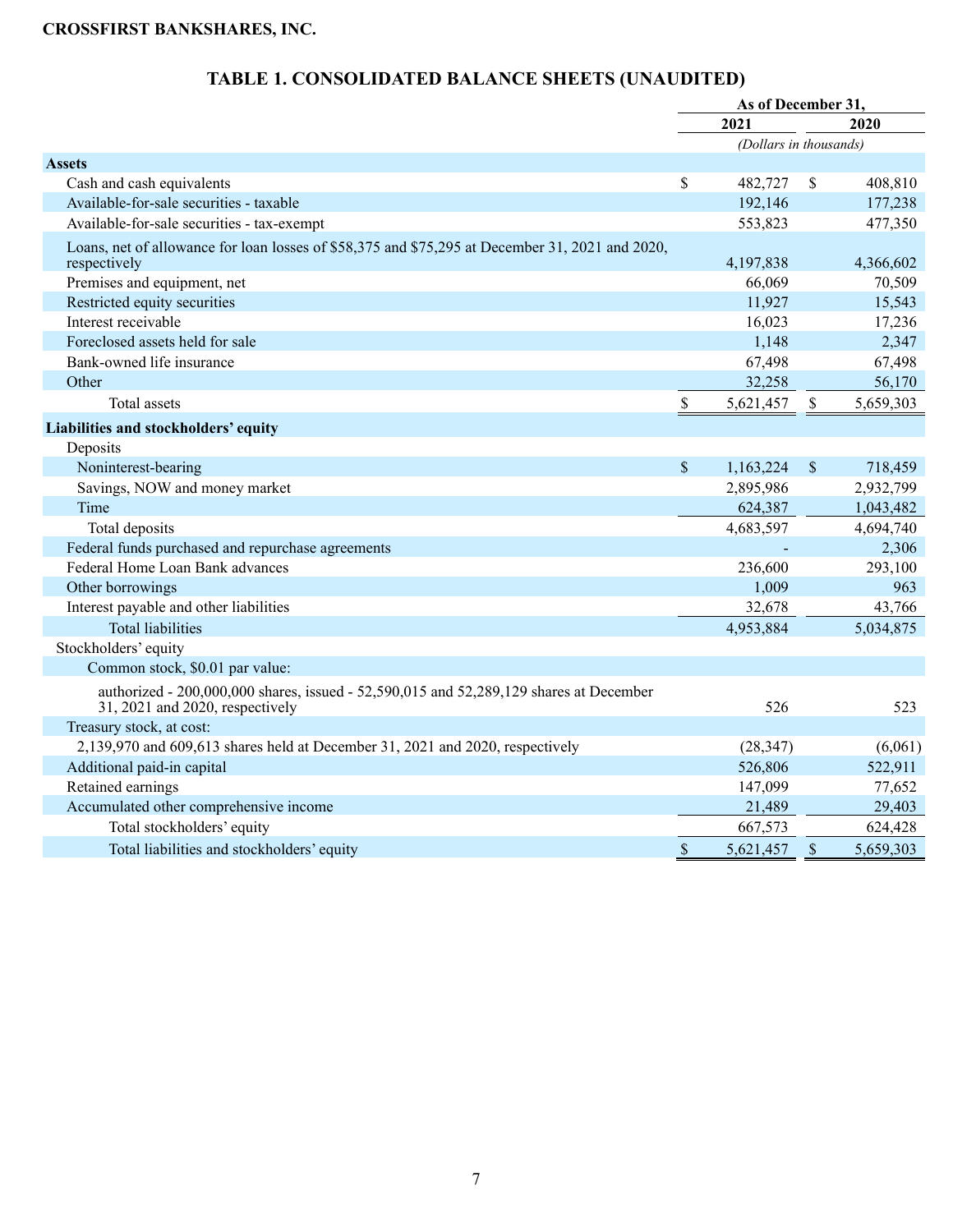|                                                                                                                           |               | As of December 31,     |              |           |
|---------------------------------------------------------------------------------------------------------------------------|---------------|------------------------|--------------|-----------|
|                                                                                                                           |               | 2021                   |              | 2020      |
|                                                                                                                           |               | (Dollars in thousands) |              |           |
| <b>Assets</b>                                                                                                             |               |                        |              |           |
| Cash and cash equivalents                                                                                                 | \$            | 482,727                | \$           | 408,810   |
| Available-for-sale securities - taxable                                                                                   |               | 192,146                |              | 177,238   |
| Available-for-sale securities - tax-exempt                                                                                |               | 553,823                |              | 477,350   |
| Loans, net of allowance for loan losses of \$58,375 and \$75,295 at December 31, 2021 and 2020,<br>respectively           |               | 4,197,838              |              | 4,366,602 |
| Premises and equipment, net                                                                                               |               | 66,069                 |              | 70,509    |
| Restricted equity securities                                                                                              |               | 11,927                 |              | 15,543    |
| Interest receivable                                                                                                       |               | 16,023                 |              | 17,236    |
| Foreclosed assets held for sale                                                                                           |               | 1,148                  |              | 2,347     |
| Bank-owned life insurance                                                                                                 |               | 67,498                 |              | 67,498    |
| Other                                                                                                                     |               | 32,258                 |              | 56,170    |
| Total assets                                                                                                              | $\$$          | 5,621,457              | \$           | 5,659,303 |
| Liabilities and stockholders' equity                                                                                      |               |                        |              |           |
| Deposits                                                                                                                  |               |                        |              |           |
| Noninterest-bearing                                                                                                       | $\mathcal{S}$ | 1,163,224              | \$           | 718,459   |
| Savings, NOW and money market                                                                                             |               | 2,895,986              |              | 2,932,799 |
| Time                                                                                                                      |               | 624,387                |              | 1,043,482 |
| Total deposits                                                                                                            |               | 4,683,597              |              | 4,694,740 |
| Federal funds purchased and repurchase agreements                                                                         |               |                        |              | 2,306     |
| Federal Home Loan Bank advances                                                                                           |               | 236,600                |              | 293,100   |
| Other borrowings                                                                                                          |               | 1,009                  |              | 963       |
| Interest payable and other liabilities                                                                                    |               | 32,678                 |              | 43,766    |
| <b>Total liabilities</b>                                                                                                  |               | 4,953,884              |              | 5,034,875 |
| Stockholders' equity                                                                                                      |               |                        |              |           |
| Common stock, \$0.01 par value:                                                                                           |               |                        |              |           |
| authorized - 200,000,000 shares, issued - 52,590,015 and 52,289,129 shares at December<br>31, 2021 and 2020, respectively |               | 526                    |              | 523       |
| Treasury stock, at cost:                                                                                                  |               |                        |              |           |
| 2,139,970 and 609,613 shares held at December 31, 2021 and 2020, respectively                                             |               | (28, 347)              |              | (6,061)   |
| Additional paid-in capital                                                                                                |               | 526,806                |              | 522,911   |
| Retained earnings                                                                                                         |               | 147,099                |              | 77,652    |
| Accumulated other comprehensive income                                                                                    |               | 21,489                 |              | 29,403    |
| Total stockholders' equity                                                                                                |               | 667,573                |              | 624,428   |
| Total liabilities and stockholders' equity                                                                                | \$            | 5,621,457              | $\mathbb{S}$ | 5,659,303 |

# **TABLE 1. CONSOLIDATED BALANCE SHEETS (UNAUDITED)**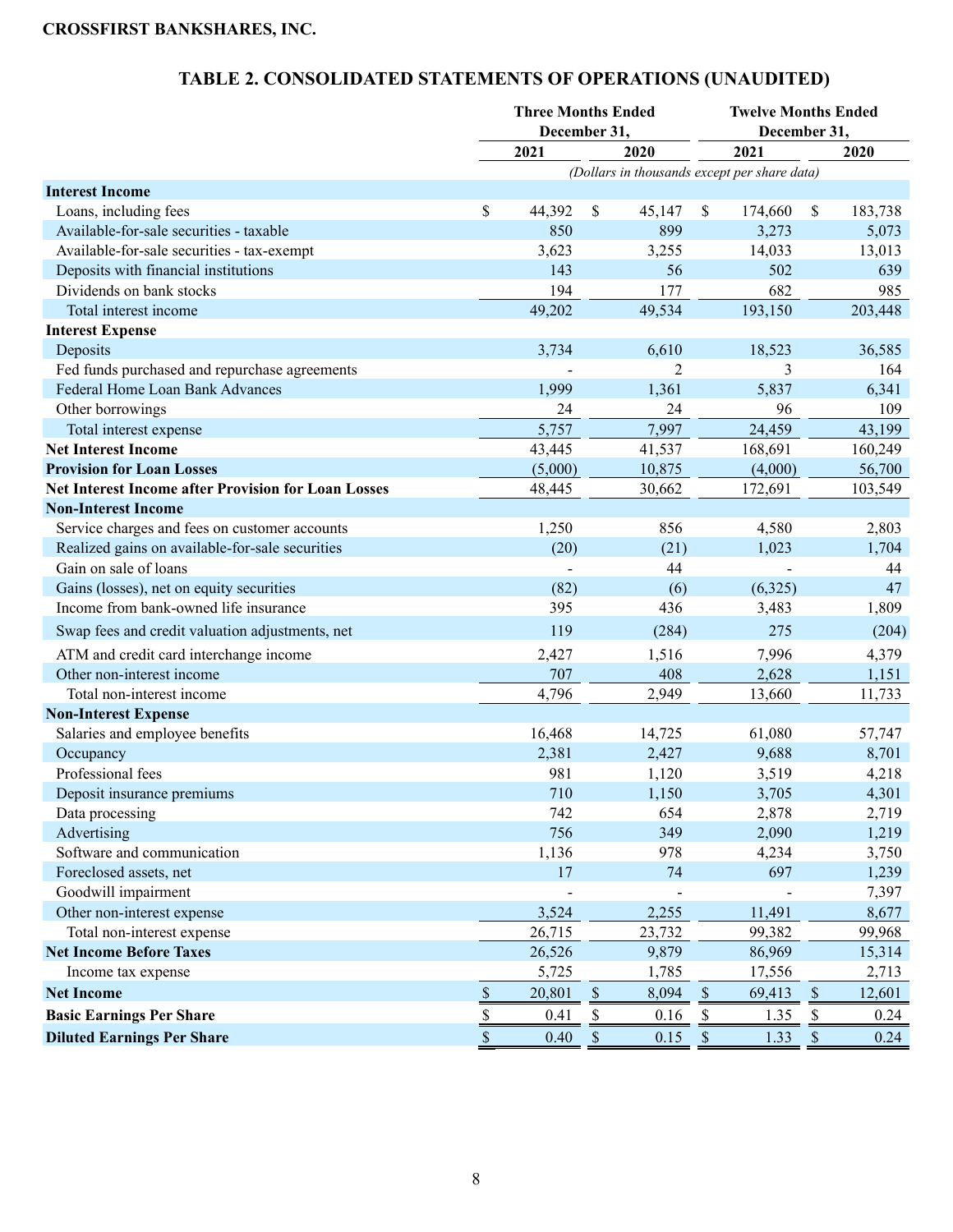|                                                            |      | <b>Three Months Ended</b><br>December 31, |                           |        |              | <b>Twelve Months Ended</b><br>December 31,   |               |         |
|------------------------------------------------------------|------|-------------------------------------------|---------------------------|--------|--------------|----------------------------------------------|---------------|---------|
|                                                            |      | 2021                                      |                           | 2020   |              | 2021                                         |               | 2020    |
|                                                            |      |                                           |                           |        |              | (Dollars in thousands except per share data) |               |         |
| <b>Interest Income</b>                                     |      |                                           |                           |        |              |                                              |               |         |
| Loans, including fees                                      | \$   | 44,392                                    | $\boldsymbol{\mathsf{S}}$ | 45,147 | \$           | 174,660                                      | <sup>\$</sup> | 183,738 |
| Available-for-sale securities - taxable                    |      | 850                                       |                           | 899    |              | 3,273                                        |               | 5,073   |
| Available-for-sale securities - tax-exempt                 |      | 3,623                                     |                           | 3,255  |              | 14,033                                       |               | 13,013  |
| Deposits with financial institutions                       |      | 143                                       |                           | 56     |              | 502                                          |               | 639     |
| Dividends on bank stocks                                   |      | 194                                       |                           | 177    |              | 682                                          |               | 985     |
| Total interest income                                      |      | 49,202                                    |                           | 49,534 |              | 193,150                                      |               | 203,448 |
| <b>Interest Expense</b>                                    |      |                                           |                           |        |              |                                              |               |         |
| Deposits                                                   |      | 3,734                                     |                           | 6,610  |              | 18,523                                       |               | 36,585  |
| Fed funds purchased and repurchase agreements              |      |                                           |                           | 2      |              | 3                                            |               | 164     |
| Federal Home Loan Bank Advances                            |      | 1,999                                     |                           | 1,361  |              | 5,837                                        |               | 6,341   |
| Other borrowings                                           |      | 24                                        |                           | 24     |              | 96                                           |               | 109     |
| Total interest expense                                     |      | 5,757                                     |                           | 7,997  |              | 24,459                                       |               | 43,199  |
| <b>Net Interest Income</b>                                 |      | 43,445                                    |                           | 41,537 |              | 168,691                                      |               | 160,249 |
| <b>Provision for Loan Losses</b>                           |      | (5,000)                                   |                           | 10,875 |              | (4,000)                                      |               | 56,700  |
| <b>Net Interest Income after Provision for Loan Losses</b> |      | 48,445                                    |                           | 30,662 |              | 172,691                                      |               | 103,549 |
| <b>Non-Interest Income</b>                                 |      |                                           |                           |        |              |                                              |               |         |
| Service charges and fees on customer accounts              |      | 1,250                                     |                           | 856    |              | 4,580                                        |               | 2,803   |
| Realized gains on available-for-sale securities            |      | (20)                                      |                           | (21)   |              | 1,023                                        |               | 1,704   |
| Gain on sale of loans                                      |      |                                           |                           | 44     |              |                                              |               | 44      |
| Gains (losses), net on equity securities                   |      | (82)                                      |                           | (6)    |              | (6,325)                                      |               | 47      |
| Income from bank-owned life insurance                      |      | 395                                       |                           | 436    |              | 3,483                                        |               | 1,809   |
| Swap fees and credit valuation adjustments, net            |      | 119                                       |                           | (284)  |              | 275                                          |               | (204)   |
| ATM and credit card interchange income                     |      | 2,427                                     |                           | 1,516  |              | 7,996                                        |               | 4,379   |
| Other non-interest income                                  |      | 707                                       |                           | 408    |              | 2,628                                        |               | 1,151   |
| Total non-interest income                                  |      | 4,796                                     |                           | 2,949  |              | 13,660                                       |               | 11,733  |
| <b>Non-Interest Expense</b>                                |      |                                           |                           |        |              |                                              |               |         |
| Salaries and employee benefits                             |      | 16,468                                    |                           | 14,725 |              | 61,080                                       |               | 57,747  |
| Occupancy                                                  |      | 2,381                                     |                           | 2,427  |              | 9,688                                        |               | 8,701   |
| Professional fees                                          |      | 981                                       |                           | 1,120  |              | 3,519                                        |               | 4,218   |
| Deposit insurance premiums                                 |      | 710                                       |                           | 1,150  |              | 3,705                                        |               | 4,301   |
| Data processing                                            |      | 742                                       |                           | 654    |              | 2,878                                        |               | 2,719   |
| Advertising                                                |      | 756                                       |                           | 349    |              | 2,090                                        |               | 1,219   |
| Software and communication                                 |      | 1,136                                     |                           | 978    |              | 4,234                                        |               | 3,750   |
| Foreclosed assets, net                                     |      | 17                                        |                           | 74     |              | 697                                          |               | 1,239   |
| Goodwill impairment                                        |      |                                           |                           |        |              |                                              |               | 7,397   |
| Other non-interest expense                                 |      | 3,524                                     |                           | 2,255  |              | 11,491                                       |               | 8,677   |
| Total non-interest expense                                 |      | 26,715                                    |                           | 23,732 |              | 99,382                                       |               | 99,968  |
| <b>Net Income Before Taxes</b>                             |      | 26,526                                    |                           | 9,879  |              | 86,969                                       |               | 15,314  |
| Income tax expense                                         |      | 5,725                                     |                           | 1,785  |              | 17,556                                       |               | 2,713   |
| <b>Net Income</b>                                          | $\$$ | 20,801                                    | $\$$                      | 8,094  | $\mathbb{S}$ | 69,413                                       | $\mathbb{S}$  | 12,601  |
| <b>Basic Earnings Per Share</b>                            | $\$$ | 0.41                                      | \$                        | 0.16   | \$           | 1.35                                         | \$            | 0.24    |
| <b>Diluted Earnings Per Share</b>                          | $\$$ | 0.40                                      | $\boldsymbol{\mathsf{S}}$ | 0.15   | $\mathbb{S}$ | 1.33                                         | $\mathbb{S}$  | 0.24    |

# **TABLE 2. CONSOLIDATED STATEMENTS OF OPERATIONS (UNAUDITED)**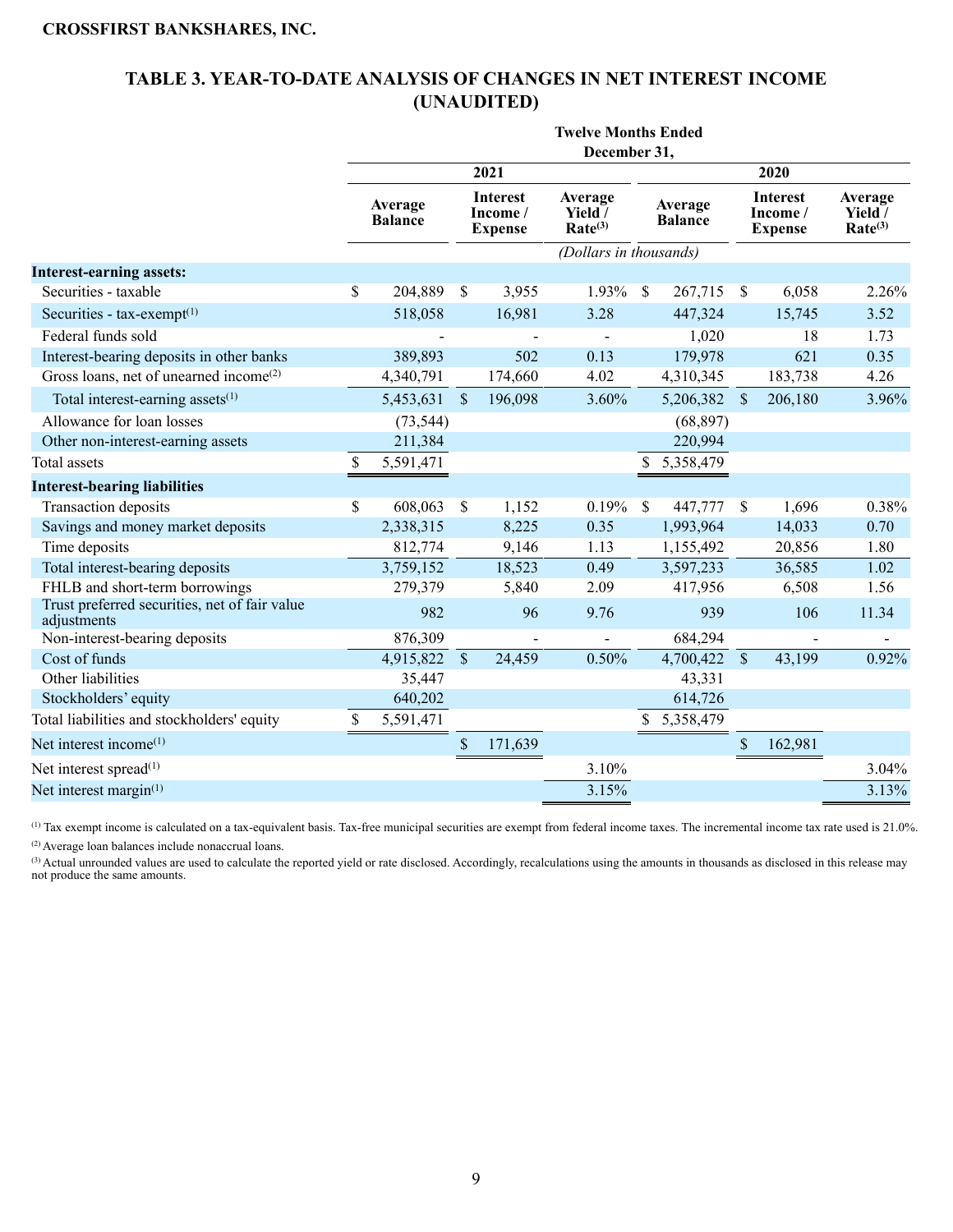## **TABLE 3. YEAR-TO-DATE ANALYSIS OF CHANGES IN NET INTEREST INCOME (UNAUDITED)**

|                                                              | <b>Twelve Months Ended</b> |           |               |                                               |                                           |               |                           |               |                                               |                                                        |  |  |
|--------------------------------------------------------------|----------------------------|-----------|---------------|-----------------------------------------------|-------------------------------------------|---------------|---------------------------|---------------|-----------------------------------------------|--------------------------------------------------------|--|--|
|                                                              |                            |           |               |                                               | December 31,                              |               |                           |               |                                               |                                                        |  |  |
|                                                              |                            |           |               | 2021                                          |                                           |               |                           | 2020          |                                               |                                                        |  |  |
|                                                              | Average<br><b>Balance</b>  |           |               | <b>Interest</b><br>Income /<br><b>Expense</b> | Average<br>Yield /<br>Rate <sup>(3)</sup> |               | Average<br><b>Balance</b> |               | <b>Interest</b><br>Income /<br><b>Expense</b> | Average<br>Yield $\overline{ }$<br>Rate <sup>(3)</sup> |  |  |
|                                                              |                            |           |               |                                               | (Dollars in thousands)                    |               |                           |               |                                               |                                                        |  |  |
| <b>Interest-earning assets:</b>                              |                            |           |               |                                               |                                           |               |                           |               |                                               |                                                        |  |  |
| Securities - taxable                                         | \$                         | 204,889   | <sup>\$</sup> | 3,955                                         | 1.93%                                     | <sup>\$</sup> | 267,715                   | <sup>\$</sup> | 6,058                                         | 2.26%                                                  |  |  |
| Securities - $tax-exempt(1)$                                 |                            | 518,058   |               | 16,981                                        | 3.28                                      |               | 447,324                   |               | 15,745                                        | 3.52                                                   |  |  |
| Federal funds sold                                           |                            |           |               |                                               |                                           |               | 1,020                     |               | 18                                            | 1.73                                                   |  |  |
| Interest-bearing deposits in other banks                     |                            | 389,893   |               | 502                                           | 0.13                                      |               | 179,978                   |               | 621                                           | 0.35                                                   |  |  |
| Gross loans, net of unearned income <sup>(2)</sup>           |                            | 4,340,791 |               | 174,660                                       | 4.02                                      |               | 4,310,345                 |               | 183,738                                       | 4.26                                                   |  |  |
| Total interest-earning assets <sup>(1)</sup>                 |                            | 5,453,631 | \$            | 196,098                                       | 3.60%                                     |               | 5,206,382                 | $\mathcal{S}$ | 206,180                                       | 3.96%                                                  |  |  |
| Allowance for loan losses                                    |                            | (73, 544) |               |                                               |                                           |               | (68, 897)                 |               |                                               |                                                        |  |  |
| Other non-interest-earning assets                            |                            | 211,384   |               |                                               |                                           |               | 220,994                   |               |                                               |                                                        |  |  |
| <b>Total</b> assets                                          | \$                         | 5,591,471 |               |                                               |                                           | \$            | 5,358,479                 |               |                                               |                                                        |  |  |
| <b>Interest-bearing liabilities</b>                          |                            |           |               |                                               |                                           |               |                           |               |                                               |                                                        |  |  |
| Transaction deposits                                         | \$                         | 608,063   | \$            | 1,152                                         | 0.19%                                     | $\mathcal{S}$ | 447,777                   | $\mathcal{S}$ | 1,696                                         | 0.38%                                                  |  |  |
| Savings and money market deposits                            |                            | 2,338,315 |               | 8,225                                         | 0.35                                      |               | 1,993,964                 |               | 14,033                                        | 0.70                                                   |  |  |
| Time deposits                                                |                            | 812,774   |               | 9,146                                         | 1.13                                      |               | 1,155,492                 |               | 20,856                                        | 1.80                                                   |  |  |
| Total interest-bearing deposits                              |                            | 3,759,152 |               | 18,523                                        | 0.49                                      |               | 3,597,233                 |               | 36,585                                        | 1.02                                                   |  |  |
| FHLB and short-term borrowings                               |                            | 279,379   |               | 5,840                                         | 2.09                                      |               | 417,956                   |               | 6,508                                         | 1.56                                                   |  |  |
| Trust preferred securities, net of fair value<br>adjustments |                            | 982       |               | 96                                            | 9.76                                      |               | 939                       |               | 106                                           | 11.34                                                  |  |  |
| Non-interest-bearing deposits                                |                            | 876,309   |               |                                               |                                           |               | 684,294                   |               |                                               |                                                        |  |  |
| Cost of funds                                                |                            | 4,915,822 | $\mathcal{S}$ | 24,459                                        | 0.50%                                     |               | 4,700,422 \$              |               | 43,199                                        | 0.92%                                                  |  |  |
| Other liabilities                                            |                            | 35,447    |               |                                               |                                           |               | 43,331                    |               |                                               |                                                        |  |  |
| Stockholders' equity                                         |                            | 640,202   |               |                                               |                                           |               | 614,726                   |               |                                               |                                                        |  |  |
| Total liabilities and stockholders' equity                   | \$                         | 5,591,471 |               |                                               |                                           | \$            | 5,358,479                 |               |                                               |                                                        |  |  |
| Net interest income <sup>(1)</sup>                           |                            |           | \$            | 171,639                                       |                                           |               |                           | \$            | 162,981                                       |                                                        |  |  |
| Net interest spread <sup>(1)</sup>                           |                            |           |               |                                               | 3.10%                                     |               |                           |               |                                               | 3.04%                                                  |  |  |
| Net interest margin <sup>(1)</sup>                           |                            |           |               |                                               | 3.15%                                     |               |                           |               |                                               | 3.13%                                                  |  |  |

(1) Tax exempt income is calculated on a tax-equivalent basis. Tax-free municipal securities are exempt from federal income taxes. The incremental income tax rate used is 21.0%. (2) Average loan balances include nonaccrual loans.

(3) Actual unrounded values are used to calculate the reported yield or rate disclosed. Accordingly, recalculations using the amounts in thousands as disclosed in this release may not produce the same amounts.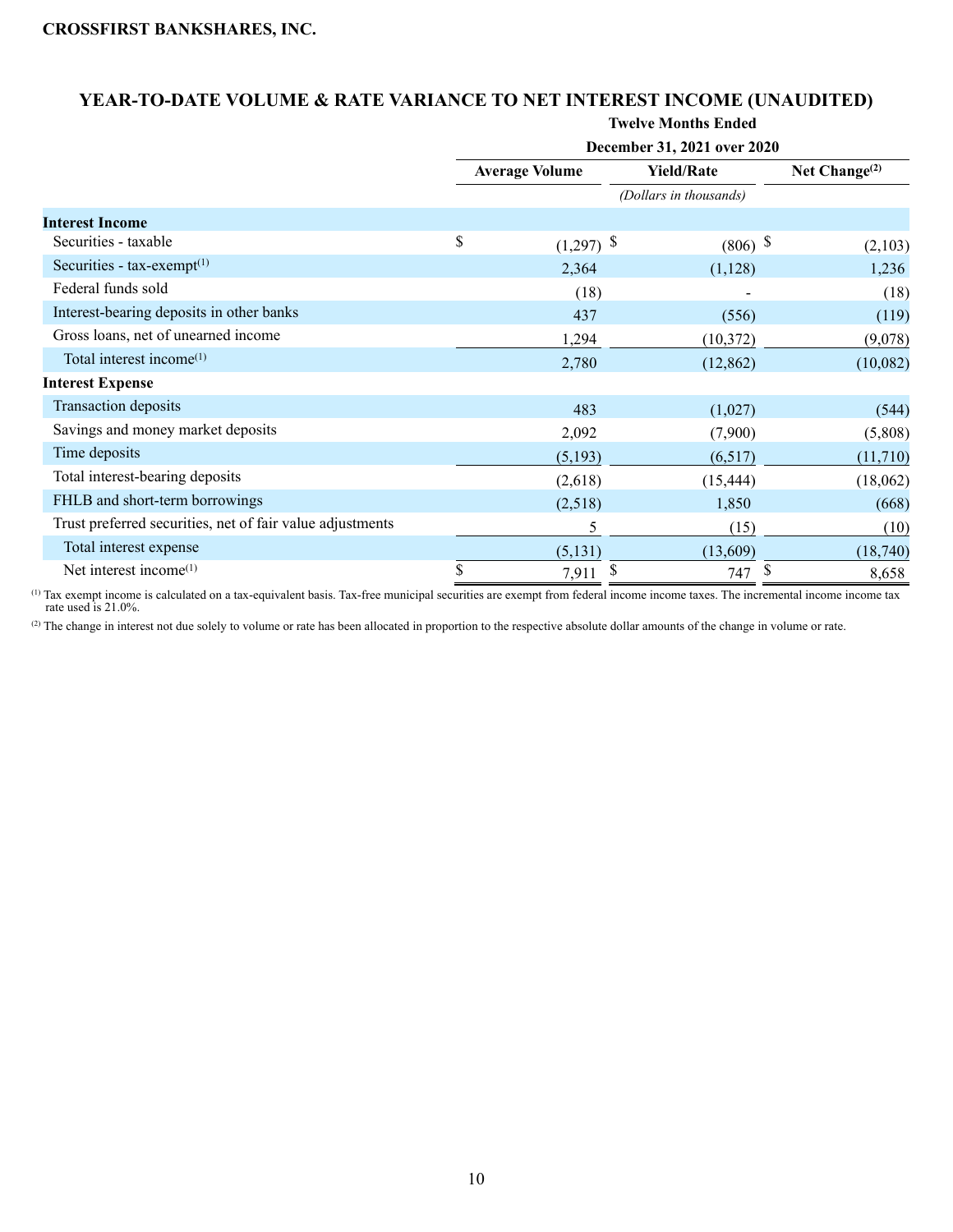# **YEAR-TO-DATE VOLUME & RATE VARIANCE TO NET INTEREST INCOME (UNAUDITED)**

**Twelve Months Ended** 

|                                                           |                       | December 31, 2021 over 2020 |                  |
|-----------------------------------------------------------|-----------------------|-----------------------------|------------------|
|                                                           | <b>Average Volume</b> | <b>Yield/Rate</b>           | Net Change $(2)$ |
|                                                           |                       | (Dollars in thousands)      |                  |
| <b>Interest Income</b>                                    |                       |                             |                  |
| Securities - taxable                                      | \$<br>$(1,297)$ \$    | $(806)$ \$                  | (2,103)          |
| Securities - tax-exempt <sup>(1)</sup>                    | 2,364                 | (1,128)                     | 1,236            |
| Federal funds sold                                        | (18)                  |                             | (18)             |
| Interest-bearing deposits in other banks                  | 437                   | (556)                       | (119)            |
| Gross loans, net of unearned income                       | 1,294                 | (10, 372)                   | (9,078)          |
| Total interest income <sup>(1)</sup>                      | 2,780                 | (12, 862)                   | (10,082)         |
| <b>Interest Expense</b>                                   |                       |                             |                  |
| Transaction deposits                                      | 483                   | (1,027)                     | (544)            |
| Savings and money market deposits                         | 2,092                 | (7,900)                     | (5,808)          |
| Time deposits                                             | (5,193)               | (6,517)                     | (11,710)         |
| Total interest-bearing deposits                           | (2,618)               | (15, 444)                   | (18,062)         |
| FHLB and short-term borrowings                            | (2,518)               | 1,850                       | (668)            |
| Trust preferred securities, net of fair value adjustments | 5                     | (15)                        | (10)             |
| Total interest expense                                    | (5, 131)              | (13,609)                    | (18,740)         |
| Net interest income <sup>(1)</sup>                        | \$<br>\$<br>7,911     | \$<br>747                   | 8,658            |

(1) Tax exempt income is calculated on a tax-equivalent basis. Tax-free municipal securities are exempt from federal income income taxes. The incremental income income tax rate used is 21.0%.

(2) The change in interest not due solely to volume or rate has been allocated in proportion to the respective absolute dollar amounts of the change in volume or rate.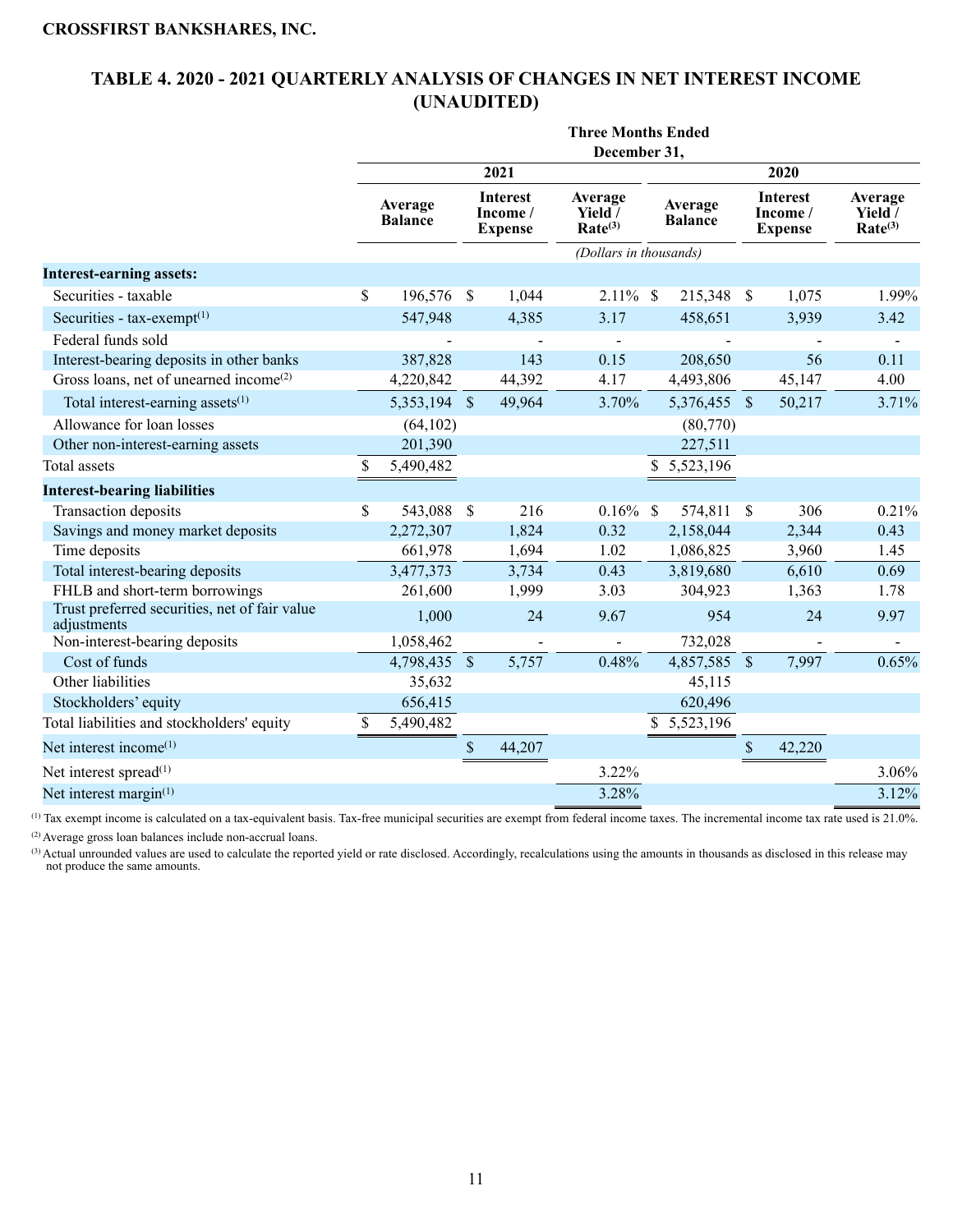## **TABLE 4. 2020 - 2021 QUARTERLY ANALYSIS OF CHANGES IN NET INTEREST INCOME (UNAUDITED)**

| December 31,<br>2021<br>2020<br><b>Interest</b><br>Interest<br>Average<br>Average<br>Average<br>Average<br>Yield /<br>Income/<br>Income /<br>Yield /<br><b>Balance</b><br><b>Balance</b><br>Rate <sup>(3)</sup><br>Rate <sup>(3)</sup><br><b>Expense</b><br><b>Expense</b><br>(Dollars in thousands)<br><b>Interest-earning assets:</b><br>Securities - taxable<br>\$<br>196,576<br>$2.11\%$ \$<br>1.99%<br><sup>\$</sup><br>1,044<br>215,348 \$<br>1,075<br>Securities - $tax-exempt(1)$<br>547,948<br>4,385<br>3.17<br>458,651<br>3,939<br>3.42<br>Federal funds sold<br>Interest-bearing deposits in other banks<br>143<br>0.15<br>208,650<br>387,828<br>56<br>0.11<br>Gross loans, net of unearned income <sup>(2)</sup><br>4,220,842<br>44,392<br>4.17<br>4,493,806<br>45,147<br>4.00<br>Total interest-earning assets <sup>(1)</sup><br>3.70%<br>3.71%<br>5,353,194 \$<br>49,964<br>5,376,455 \$<br>50,217<br>Allowance for loan losses<br>(64, 102)<br>(80,770)<br>201,390<br>227,511<br>Other non-interest-earning assets<br>Total assets<br>\$<br>5,490,482<br>5,523,196<br><b>Interest-bearing liabilities</b><br>$0.16\%$ \$<br>0.21%<br>Transaction deposits<br>\$<br>543,088 \$<br>216<br>574,811<br>306<br>$\mathbb{S}$<br>Savings and money market deposits<br>2,272,307<br>1,824<br>0.32<br>2,158,044<br>2,344<br>0.43<br>Time deposits<br>661,978<br>1.02<br>1,694<br>1,086,825<br>3,960<br>1.45<br>Total interest-bearing deposits<br>3,734<br>3,819,680<br>6,610<br>3,477,373<br>0.43<br>0.69<br>FHLB and short-term borrowings<br>261,600<br>1,999<br>3.03<br>304,923<br>1,363<br>1.78<br>Trust preferred securities, net of fair value<br>1,000<br>9.67<br>9.97<br>24<br>954<br>24<br>adjustments<br>Non-interest-bearing deposits<br>1,058,462<br>732,028<br>$\blacksquare$<br>0.65%<br>Cost of funds<br>5,757<br>0.48%<br>4,857,585 \$<br>7,997<br>4,798,435 \$<br>Other liabilities<br>35,632<br>45,115<br>Stockholders' equity<br>656,415<br>620,496<br>Total liabilities and stockholders' equity<br>\$<br>5,490,482<br>\$5,523,196<br>Net interest income $(1)$<br>$\mathcal{S}$<br>44,207<br>42,220<br>\$<br>3.22%<br>3.06%<br>Net interest spread <sup>(1)</sup> | <b>Three Months Ended</b> |  |  |  |  |  |  |  |  |  |  |  |  |
|-----------------------------------------------------------------------------------------------------------------------------------------------------------------------------------------------------------------------------------------------------------------------------------------------------------------------------------------------------------------------------------------------------------------------------------------------------------------------------------------------------------------------------------------------------------------------------------------------------------------------------------------------------------------------------------------------------------------------------------------------------------------------------------------------------------------------------------------------------------------------------------------------------------------------------------------------------------------------------------------------------------------------------------------------------------------------------------------------------------------------------------------------------------------------------------------------------------------------------------------------------------------------------------------------------------------------------------------------------------------------------------------------------------------------------------------------------------------------------------------------------------------------------------------------------------------------------------------------------------------------------------------------------------------------------------------------------------------------------------------------------------------------------------------------------------------------------------------------------------------------------------------------------------------------------------------------------------------------------------------------------------------------------------------------------------------------------------------------------------------------------------------------------------------------------------------------|---------------------------|--|--|--|--|--|--|--|--|--|--|--|--|
|                                                                                                                                                                                                                                                                                                                                                                                                                                                                                                                                                                                                                                                                                                                                                                                                                                                                                                                                                                                                                                                                                                                                                                                                                                                                                                                                                                                                                                                                                                                                                                                                                                                                                                                                                                                                                                                                                                                                                                                                                                                                                                                                                                                               |                           |  |  |  |  |  |  |  |  |  |  |  |  |
|                                                                                                                                                                                                                                                                                                                                                                                                                                                                                                                                                                                                                                                                                                                                                                                                                                                                                                                                                                                                                                                                                                                                                                                                                                                                                                                                                                                                                                                                                                                                                                                                                                                                                                                                                                                                                                                                                                                                                                                                                                                                                                                                                                                               |                           |  |  |  |  |  |  |  |  |  |  |  |  |
|                                                                                                                                                                                                                                                                                                                                                                                                                                                                                                                                                                                                                                                                                                                                                                                                                                                                                                                                                                                                                                                                                                                                                                                                                                                                                                                                                                                                                                                                                                                                                                                                                                                                                                                                                                                                                                                                                                                                                                                                                                                                                                                                                                                               |                           |  |  |  |  |  |  |  |  |  |  |  |  |
|                                                                                                                                                                                                                                                                                                                                                                                                                                                                                                                                                                                                                                                                                                                                                                                                                                                                                                                                                                                                                                                                                                                                                                                                                                                                                                                                                                                                                                                                                                                                                                                                                                                                                                                                                                                                                                                                                                                                                                                                                                                                                                                                                                                               |                           |  |  |  |  |  |  |  |  |  |  |  |  |
|                                                                                                                                                                                                                                                                                                                                                                                                                                                                                                                                                                                                                                                                                                                                                                                                                                                                                                                                                                                                                                                                                                                                                                                                                                                                                                                                                                                                                                                                                                                                                                                                                                                                                                                                                                                                                                                                                                                                                                                                                                                                                                                                                                                               |                           |  |  |  |  |  |  |  |  |  |  |  |  |
|                                                                                                                                                                                                                                                                                                                                                                                                                                                                                                                                                                                                                                                                                                                                                                                                                                                                                                                                                                                                                                                                                                                                                                                                                                                                                                                                                                                                                                                                                                                                                                                                                                                                                                                                                                                                                                                                                                                                                                                                                                                                                                                                                                                               |                           |  |  |  |  |  |  |  |  |  |  |  |  |
|                                                                                                                                                                                                                                                                                                                                                                                                                                                                                                                                                                                                                                                                                                                                                                                                                                                                                                                                                                                                                                                                                                                                                                                                                                                                                                                                                                                                                                                                                                                                                                                                                                                                                                                                                                                                                                                                                                                                                                                                                                                                                                                                                                                               |                           |  |  |  |  |  |  |  |  |  |  |  |  |
|                                                                                                                                                                                                                                                                                                                                                                                                                                                                                                                                                                                                                                                                                                                                                                                                                                                                                                                                                                                                                                                                                                                                                                                                                                                                                                                                                                                                                                                                                                                                                                                                                                                                                                                                                                                                                                                                                                                                                                                                                                                                                                                                                                                               |                           |  |  |  |  |  |  |  |  |  |  |  |  |
|                                                                                                                                                                                                                                                                                                                                                                                                                                                                                                                                                                                                                                                                                                                                                                                                                                                                                                                                                                                                                                                                                                                                                                                                                                                                                                                                                                                                                                                                                                                                                                                                                                                                                                                                                                                                                                                                                                                                                                                                                                                                                                                                                                                               |                           |  |  |  |  |  |  |  |  |  |  |  |  |
|                                                                                                                                                                                                                                                                                                                                                                                                                                                                                                                                                                                                                                                                                                                                                                                                                                                                                                                                                                                                                                                                                                                                                                                                                                                                                                                                                                                                                                                                                                                                                                                                                                                                                                                                                                                                                                                                                                                                                                                                                                                                                                                                                                                               |                           |  |  |  |  |  |  |  |  |  |  |  |  |
|                                                                                                                                                                                                                                                                                                                                                                                                                                                                                                                                                                                                                                                                                                                                                                                                                                                                                                                                                                                                                                                                                                                                                                                                                                                                                                                                                                                                                                                                                                                                                                                                                                                                                                                                                                                                                                                                                                                                                                                                                                                                                                                                                                                               |                           |  |  |  |  |  |  |  |  |  |  |  |  |
|                                                                                                                                                                                                                                                                                                                                                                                                                                                                                                                                                                                                                                                                                                                                                                                                                                                                                                                                                                                                                                                                                                                                                                                                                                                                                                                                                                                                                                                                                                                                                                                                                                                                                                                                                                                                                                                                                                                                                                                                                                                                                                                                                                                               |                           |  |  |  |  |  |  |  |  |  |  |  |  |
|                                                                                                                                                                                                                                                                                                                                                                                                                                                                                                                                                                                                                                                                                                                                                                                                                                                                                                                                                                                                                                                                                                                                                                                                                                                                                                                                                                                                                                                                                                                                                                                                                                                                                                                                                                                                                                                                                                                                                                                                                                                                                                                                                                                               |                           |  |  |  |  |  |  |  |  |  |  |  |  |
|                                                                                                                                                                                                                                                                                                                                                                                                                                                                                                                                                                                                                                                                                                                                                                                                                                                                                                                                                                                                                                                                                                                                                                                                                                                                                                                                                                                                                                                                                                                                                                                                                                                                                                                                                                                                                                                                                                                                                                                                                                                                                                                                                                                               |                           |  |  |  |  |  |  |  |  |  |  |  |  |
|                                                                                                                                                                                                                                                                                                                                                                                                                                                                                                                                                                                                                                                                                                                                                                                                                                                                                                                                                                                                                                                                                                                                                                                                                                                                                                                                                                                                                                                                                                                                                                                                                                                                                                                                                                                                                                                                                                                                                                                                                                                                                                                                                                                               |                           |  |  |  |  |  |  |  |  |  |  |  |  |
|                                                                                                                                                                                                                                                                                                                                                                                                                                                                                                                                                                                                                                                                                                                                                                                                                                                                                                                                                                                                                                                                                                                                                                                                                                                                                                                                                                                                                                                                                                                                                                                                                                                                                                                                                                                                                                                                                                                                                                                                                                                                                                                                                                                               |                           |  |  |  |  |  |  |  |  |  |  |  |  |
|                                                                                                                                                                                                                                                                                                                                                                                                                                                                                                                                                                                                                                                                                                                                                                                                                                                                                                                                                                                                                                                                                                                                                                                                                                                                                                                                                                                                                                                                                                                                                                                                                                                                                                                                                                                                                                                                                                                                                                                                                                                                                                                                                                                               |                           |  |  |  |  |  |  |  |  |  |  |  |  |
|                                                                                                                                                                                                                                                                                                                                                                                                                                                                                                                                                                                                                                                                                                                                                                                                                                                                                                                                                                                                                                                                                                                                                                                                                                                                                                                                                                                                                                                                                                                                                                                                                                                                                                                                                                                                                                                                                                                                                                                                                                                                                                                                                                                               |                           |  |  |  |  |  |  |  |  |  |  |  |  |
|                                                                                                                                                                                                                                                                                                                                                                                                                                                                                                                                                                                                                                                                                                                                                                                                                                                                                                                                                                                                                                                                                                                                                                                                                                                                                                                                                                                                                                                                                                                                                                                                                                                                                                                                                                                                                                                                                                                                                                                                                                                                                                                                                                                               |                           |  |  |  |  |  |  |  |  |  |  |  |  |
|                                                                                                                                                                                                                                                                                                                                                                                                                                                                                                                                                                                                                                                                                                                                                                                                                                                                                                                                                                                                                                                                                                                                                                                                                                                                                                                                                                                                                                                                                                                                                                                                                                                                                                                                                                                                                                                                                                                                                                                                                                                                                                                                                                                               |                           |  |  |  |  |  |  |  |  |  |  |  |  |
|                                                                                                                                                                                                                                                                                                                                                                                                                                                                                                                                                                                                                                                                                                                                                                                                                                                                                                                                                                                                                                                                                                                                                                                                                                                                                                                                                                                                                                                                                                                                                                                                                                                                                                                                                                                                                                                                                                                                                                                                                                                                                                                                                                                               |                           |  |  |  |  |  |  |  |  |  |  |  |  |
|                                                                                                                                                                                                                                                                                                                                                                                                                                                                                                                                                                                                                                                                                                                                                                                                                                                                                                                                                                                                                                                                                                                                                                                                                                                                                                                                                                                                                                                                                                                                                                                                                                                                                                                                                                                                                                                                                                                                                                                                                                                                                                                                                                                               |                           |  |  |  |  |  |  |  |  |  |  |  |  |
|                                                                                                                                                                                                                                                                                                                                                                                                                                                                                                                                                                                                                                                                                                                                                                                                                                                                                                                                                                                                                                                                                                                                                                                                                                                                                                                                                                                                                                                                                                                                                                                                                                                                                                                                                                                                                                                                                                                                                                                                                                                                                                                                                                                               |                           |  |  |  |  |  |  |  |  |  |  |  |  |
|                                                                                                                                                                                                                                                                                                                                                                                                                                                                                                                                                                                                                                                                                                                                                                                                                                                                                                                                                                                                                                                                                                                                                                                                                                                                                                                                                                                                                                                                                                                                                                                                                                                                                                                                                                                                                                                                                                                                                                                                                                                                                                                                                                                               |                           |  |  |  |  |  |  |  |  |  |  |  |  |
|                                                                                                                                                                                                                                                                                                                                                                                                                                                                                                                                                                                                                                                                                                                                                                                                                                                                                                                                                                                                                                                                                                                                                                                                                                                                                                                                                                                                                                                                                                                                                                                                                                                                                                                                                                                                                                                                                                                                                                                                                                                                                                                                                                                               |                           |  |  |  |  |  |  |  |  |  |  |  |  |
|                                                                                                                                                                                                                                                                                                                                                                                                                                                                                                                                                                                                                                                                                                                                                                                                                                                                                                                                                                                                                                                                                                                                                                                                                                                                                                                                                                                                                                                                                                                                                                                                                                                                                                                                                                                                                                                                                                                                                                                                                                                                                                                                                                                               |                           |  |  |  |  |  |  |  |  |  |  |  |  |
|                                                                                                                                                                                                                                                                                                                                                                                                                                                                                                                                                                                                                                                                                                                                                                                                                                                                                                                                                                                                                                                                                                                                                                                                                                                                                                                                                                                                                                                                                                                                                                                                                                                                                                                                                                                                                                                                                                                                                                                                                                                                                                                                                                                               |                           |  |  |  |  |  |  |  |  |  |  |  |  |
|                                                                                                                                                                                                                                                                                                                                                                                                                                                                                                                                                                                                                                                                                                                                                                                                                                                                                                                                                                                                                                                                                                                                                                                                                                                                                                                                                                                                                                                                                                                                                                                                                                                                                                                                                                                                                                                                                                                                                                                                                                                                                                                                                                                               |                           |  |  |  |  |  |  |  |  |  |  |  |  |
| 3.28%<br>Net interest margin <sup>(1)</sup><br>3.12%                                                                                                                                                                                                                                                                                                                                                                                                                                                                                                                                                                                                                                                                                                                                                                                                                                                                                                                                                                                                                                                                                                                                                                                                                                                                                                                                                                                                                                                                                                                                                                                                                                                                                                                                                                                                                                                                                                                                                                                                                                                                                                                                          |                           |  |  |  |  |  |  |  |  |  |  |  |  |

(1) Tax exempt income is calculated on a tax-equivalent basis. Tax-free municipal securities are exempt from federal income taxes. The incremental income tax rate used is 21.0%.

(2) Average gross loan balances include non-accrual loans.

(3) Actual unrounded values are used to calculate the reported yield or rate disclosed. Accordingly, recalculations using the amounts in thousands as disclosed in this release may not produce the same amounts.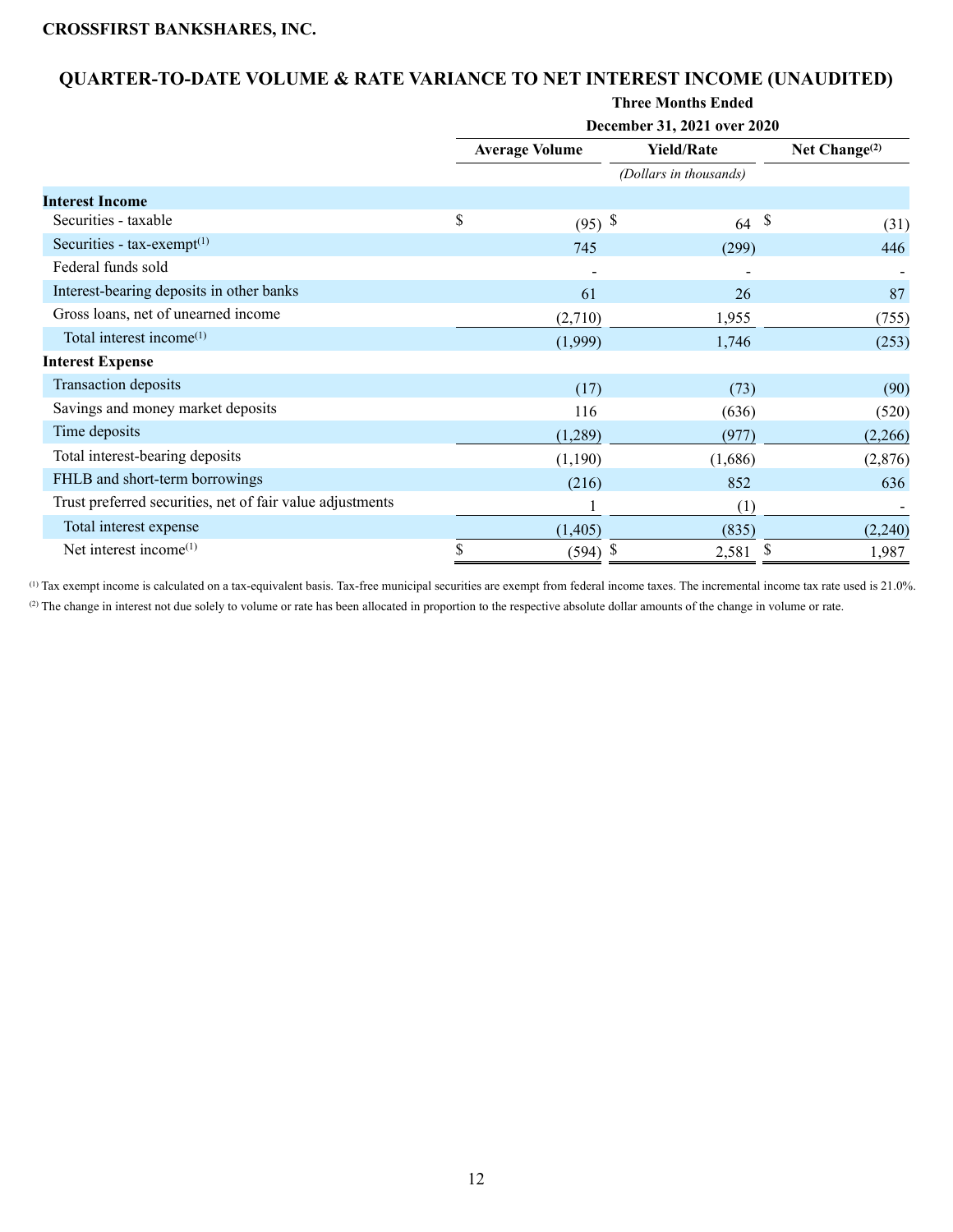## **QUARTER-TO-DATE VOLUME & RATE VARIANCE TO NET INTEREST INCOME (UNAUDITED)**

|                                                           |    |                       | December 31, 2021 over 2020 |    |                  |
|-----------------------------------------------------------|----|-----------------------|-----------------------------|----|------------------|
|                                                           |    | <b>Average Volume</b> | <b>Yield/Rate</b>           |    | Net Change $(2)$ |
|                                                           |    |                       | (Dollars in thousands)      |    |                  |
| <b>Interest Income</b>                                    |    |                       |                             |    |                  |
| Securities - taxable                                      | \$ | $(95)$ \$             | 64                          | \$ | (31)             |
| Securities - tax-exempt <sup>(1)</sup>                    |    | 745                   | (299)                       |    | 446              |
| Federal funds sold                                        |    |                       |                             |    |                  |
| Interest-bearing deposits in other banks                  |    | 61                    | 26                          |    | 87               |
| Gross loans, net of unearned income                       |    | (2,710)               | 1,955                       |    | (755)            |
| Total interest income <sup>(1)</sup>                      |    | (1,999)               | 1,746                       |    | (253)            |
| <b>Interest Expense</b>                                   |    |                       |                             |    |                  |
| Transaction deposits                                      |    | (17)                  | (73)                        |    | (90)             |
| Savings and money market deposits                         |    | 116                   | (636)                       |    | (520)            |
| Time deposits                                             |    | (1,289)               | (977)                       |    | (2,266)          |
| Total interest-bearing deposits                           |    | (1,190)               | (1,686)                     |    | (2,876)          |
| FHLB and short-term borrowings                            |    | (216)                 | 852                         |    | 636              |
| Trust preferred securities, net of fair value adjustments |    |                       | (1)                         |    |                  |
| Total interest expense                                    |    | (1,405)               | (835)                       |    | (2,240)          |
| Net interest income <sup>(1)</sup>                        | \$ | (594)                 | -S<br>2,581                 |    | 1,987            |

(1) Tax exempt income is calculated on a tax-equivalent basis. Tax-free municipal securities are exempt from federal income taxes. The incremental income tax rate used is 21.0%. (2) The change in interest not due solely to volume or rate has been allocated in proportion to the respective absolute dollar amounts of the change in volume or rate.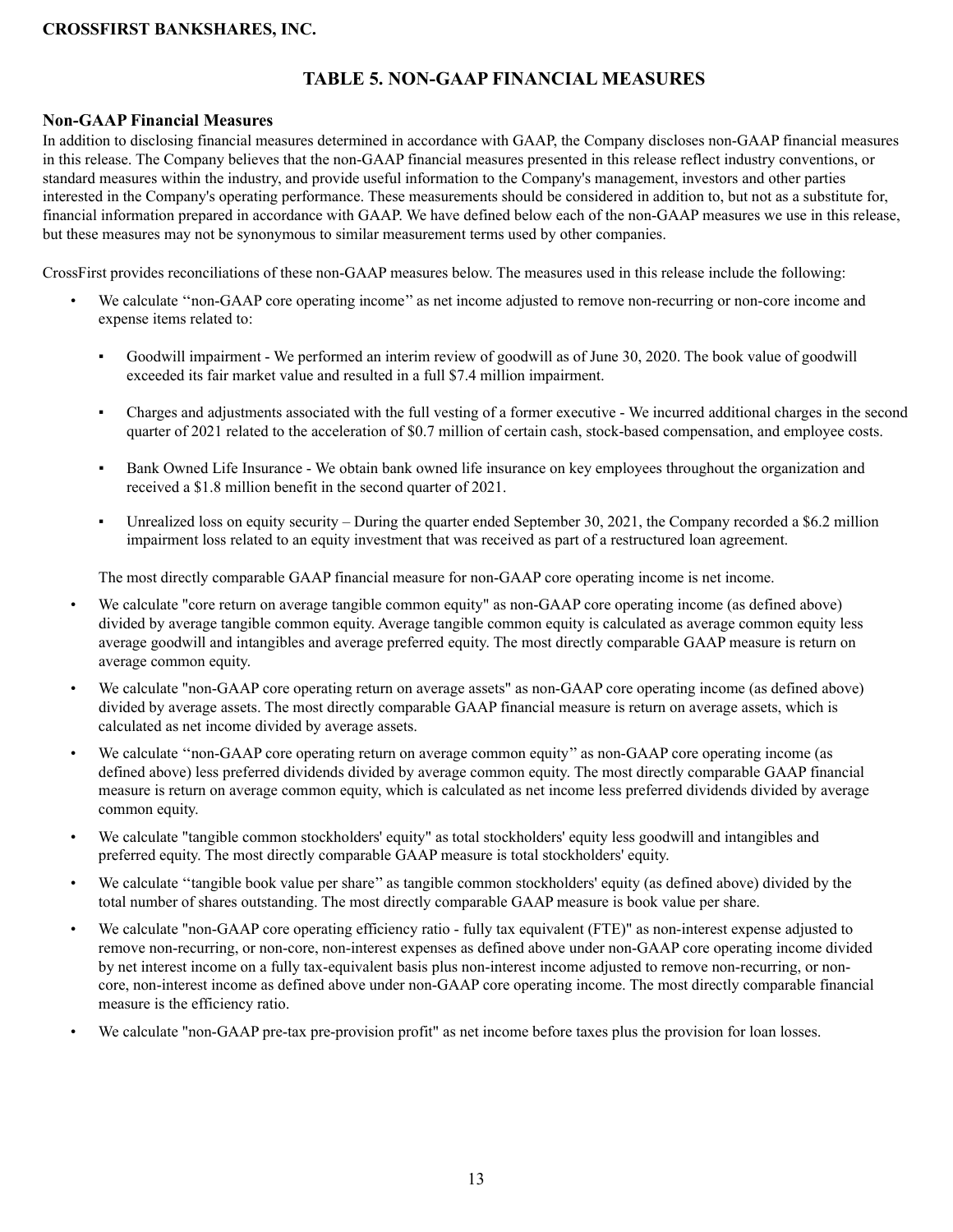## **TABLE 5. NON-GAAP FINANCIAL MEASURES**

#### **Non-GAAP Financial Measures**

In addition to disclosing financial measures determined in accordance with GAAP, the Company discloses non-GAAP financial measures in this release. The Company believes that the non-GAAP financial measures presented in this release reflect industry conventions, or standard measures within the industry, and provide useful information to the Company's management, investors and other parties interested in the Company's operating performance. These measurements should be considered in addition to, but not as a substitute for, financial information prepared in accordance with GAAP. We have defined below each of the non-GAAP measures we use in this release, but these measures may not be synonymous to similar measurement terms used by other companies.

CrossFirst provides reconciliations of these non-GAAP measures below. The measures used in this release include the following:

- We calculate "non-GAAP core operating income" as net income adjusted to remove non-recurring or non-core income and expense items related to:
	- Goodwill impairment We performed an interim review of goodwill as of June 30, 2020. The book value of goodwill exceeded its fair market value and resulted in a full \$7.4 million impairment.
	- Charges and adjustments associated with the full vesting of a former executive We incurred additional charges in the second quarter of 2021 related to the acceleration of \$0.7 million of certain cash, stock-based compensation, and employee costs.
	- Bank Owned Life Insurance We obtain bank owned life insurance on key employees throughout the organization and received a \$1.8 million benefit in the second quarter of 2021.
	- Unrealized loss on equity security During the quarter ended September 30, 2021, the Company recorded a \$6.2 million impairment loss related to an equity investment that was received as part of a restructured loan agreement.

The most directly comparable GAAP financial measure for non-GAAP core operating income is net income.

- We calculate "core return on average tangible common equity" as non-GAAP core operating income (as defined above) divided by average tangible common equity. Average tangible common equity is calculated as average common equity less average goodwill and intangibles and average preferred equity. The most directly comparable GAAP measure is return on average common equity.
- We calculate "non-GAAP core operating return on average assets" as non-GAAP core operating income (as defined above) divided by average assets. The most directly comparable GAAP financial measure is return on average assets, which is calculated as net income divided by average assets.
- We calculate ''non-GAAP core operating return on average common equity'' as non-GAAP core operating income (as defined above) less preferred dividends divided by average common equity. The most directly comparable GAAP financial measure is return on average common equity, which is calculated as net income less preferred dividends divided by average common equity.
- We calculate "tangible common stockholders' equity" as total stockholders' equity less goodwill and intangibles and preferred equity. The most directly comparable GAAP measure is total stockholders' equity.
- We calculate ''tangible book value per share'' as tangible common stockholders' equity (as defined above) divided by the total number of shares outstanding. The most directly comparable GAAP measure is book value per share.
- We calculate "non-GAAP core operating efficiency ratio fully tax equivalent (FTE)" as non-interest expense adjusted to remove non-recurring, or non-core, non-interest expenses as defined above under non-GAAP core operating income divided by net interest income on a fully tax-equivalent basis plus non-interest income adjusted to remove non-recurring, or noncore, non-interest income as defined above under non-GAAP core operating income. The most directly comparable financial measure is the efficiency ratio.
- We calculate "non-GAAP pre-tax pre-provision profit" as net income before taxes plus the provision for loan losses.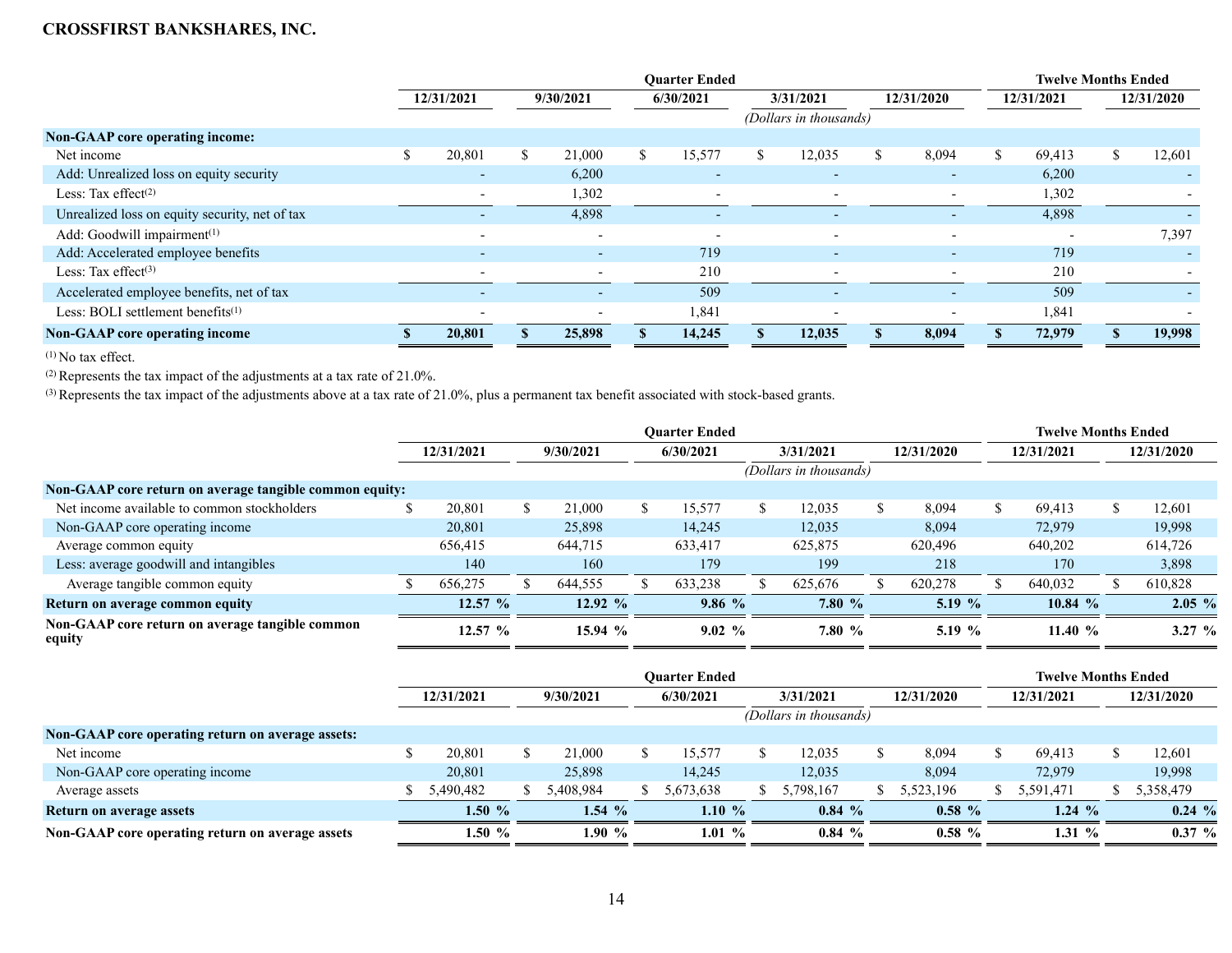|                                                | <b>Ouarter Ended</b>     |           |                          |           |                          |           |                          |            |                          |            | <b>Twelve Months Ended</b> |  |                          |  |  |
|------------------------------------------------|--------------------------|-----------|--------------------------|-----------|--------------------------|-----------|--------------------------|------------|--------------------------|------------|----------------------------|--|--------------------------|--|--|
|                                                | 12/31/2021               | 9/30/2021 |                          | 6/30/2021 |                          | 3/31/2021 |                          | 12/31/2020 |                          | 12/31/2021 |                            |  | 12/31/2020               |  |  |
|                                                |                          |           |                          |           |                          |           | (Dollars in thousands)   |            |                          |            |                            |  |                          |  |  |
| Non-GAAP core operating income:                |                          |           |                          |           |                          |           |                          |            |                          |            |                            |  |                          |  |  |
| Net income                                     | 20,801                   | \$        | 21,000                   |           | 15,577                   | \$        | 12,035                   | S.         | 8,094                    | S.         | 69,413                     |  | 12,601                   |  |  |
| Add: Unrealized loss on equity security        | $\overline{\phantom{0}}$ |           | 6,200                    |           |                          |           | $\overline{\phantom{0}}$ |            |                          |            | 6,200                      |  |                          |  |  |
| Less: Tax effect $(2)$                         | $\overline{\phantom{a}}$ |           | 1,302                    |           | $\overline{\phantom{a}}$ |           | $\overline{\phantom{a}}$ |            |                          |            | 1,302                      |  | $\overline{\phantom{a}}$ |  |  |
| Unrealized loss on equity security, net of tax |                          |           | 4,898                    |           |                          |           | -                        |            |                          |            | 4,898                      |  |                          |  |  |
| Add: Goodwill impairment <sup>(1)</sup>        | $\overline{\phantom{0}}$ |           | $\overline{\phantom{0}}$ |           | $\overline{\phantom{0}}$ |           | $\overline{\phantom{0}}$ |            | $\overline{\phantom{0}}$ |            |                            |  | 7,397                    |  |  |
| Add: Accelerated employee benefits             | $\overline{\phantom{0}}$ |           | $\overline{a}$           |           | 719                      |           | $\overline{\phantom{0}}$ |            | $\overline{a}$           |            | 719                        |  | $\sim$                   |  |  |
| Less: Tax effect $(3)$                         | $\overline{\phantom{0}}$ |           | $\overline{\phantom{0}}$ |           | 210                      |           | $\overline{\phantom{0}}$ |            | $\overline{\phantom{0}}$ |            | 210                        |  | $\overline{\phantom{0}}$ |  |  |
| Accelerated employee benefits, net of tax      | $\overline{\phantom{0}}$ |           | $\overline{\phantom{0}}$ |           | 509                      |           |                          |            | $\overline{\phantom{0}}$ |            | 509                        |  |                          |  |  |
| Less: BOLI settlement benefits $(1)$           |                          |           | $\overline{\phantom{0}}$ |           | 1,841                    |           |                          |            |                          |            | 1,841                      |  |                          |  |  |
| <b>Non-GAAP</b> core operating income          | 20,801                   |           | 25,898                   |           | 14,245                   |           | 12,035                   |            | 8,094                    |            | 72,979                     |  | 19,998                   |  |  |

 $(1)$  No tax effect.

(2) Represents the tax impact of the adjustments at a tax rate of 21.0%.

(3) Represents the tax impact of the adjustments above at a tax rate of 21.0%, plus a permanent tax benefit associated with stock-based grants.

|                                                           |            |           | <b>Twelve Months Ended</b> |    |           |                        |           |            |          |            |           |     |            |
|-----------------------------------------------------------|------------|-----------|----------------------------|----|-----------|------------------------|-----------|------------|----------|------------|-----------|-----|------------|
|                                                           | 12/31/2021 | 9/30/2021 |                            |    | 6/30/2021 |                        | 3/31/2021 | 12/31/2020 |          | 12/31/2021 |           |     | 12/31/2020 |
|                                                           |            |           |                            |    |           | (Dollars in thousands) |           |            |          |            |           |     |            |
| Non-GAAP core return on average tangible common equity:   |            |           |                            |    |           |                        |           |            |          |            |           |     |            |
| Net income available to common stockholders               | 20,801     | S.        | 21,000                     | S. | 15,577    |                        | 12,035    |            | 8,094    | S.         | 69.413    | \$. | 12,601     |
| Non-GAAP core operating income                            | 20,801     |           | 25,898                     |    | 14,245    |                        | 12,035    |            | 8,094    |            | 72,979    |     | 19,998     |
| Average common equity                                     | 656,415    |           | 644,715                    |    | 633,417   |                        | 625,875   |            | 620,496  |            | 640,202   |     | 614,726    |
| Less: average goodwill and intangibles                    | 140        |           | 160                        |    | 179       |                        | 199       |            | 218      |            | 170       |     | 3,898      |
| Average tangible common equity                            | 656,275    |           | 644,555                    |    | 633,238   |                        | 625,676   |            | 620,278  |            | 640,032   |     | 610,828    |
| Return on average common equity                           | $12.57~\%$ |           | $12.92\%$                  |    | $9.86\%$  |                        | 7.80%     |            | 5.19 $%$ |            | $10.84\%$ |     | $2.05\%$   |
| Non-GAAP core return on average tangible common<br>equity | $12.57~\%$ |           | 15.94 %                    |    | $9.02\%$  |                        | 7.80%     |            | 5.19 $%$ |            | 11.40 $%$ |     | 3.27 $%$   |

|                                                   |            |           |          | <b>Twelve Months Ended</b> |           |           |           |            |           |            |           |  |            |  |
|---------------------------------------------------|------------|-----------|----------|----------------------------|-----------|-----------|-----------|------------|-----------|------------|-----------|--|------------|--|
|                                                   | 12/31/2021 | 9/30/2021 |          | 6/30/2021                  |           | 3/31/2021 |           | 12/31/2020 |           | 12/31/2021 |           |  | 12/31/2020 |  |
|                                                   |            |           |          | (Dollars in thousands)     |           |           |           |            |           |            |           |  |            |  |
| Non-GAAP core operating return on average assets: |            |           |          |                            |           |           |           |            |           |            |           |  |            |  |
| Net income                                        | 20,801     |           | 21,000   |                            | 15.577    |           | 2,035     |            | 8,094     |            | 69,413    |  | 12,601     |  |
| Non-GAAP core operating income                    | 20,801     |           | 25,898   |                            | 14.245    |           | 12,035    |            | 8,094     |            | 72,979    |  | 19,998     |  |
| Average assets                                    | 5,490,482  |           | .408.984 |                            | 5,673,638 |           | 5,798,167 |            | 5,523,196 |            | 5,591,471 |  | 5,358,479  |  |
| Return on average assets                          | $1.50 \%$  |           | $1.54\%$ |                            | 1.10 $%$  |           | $0.84\%$  |            | $0.58\%$  |            | $1.24\%$  |  | $0.24\%$   |  |
| Non-GAAP core operating return on average assets  | 1.50 $%$   |           | 1.90 $%$ |                            | 1.01 $%$  |           | $0.84\%$  |            | $0.58\%$  |            | 1.31%     |  | $0.37 \%$  |  |